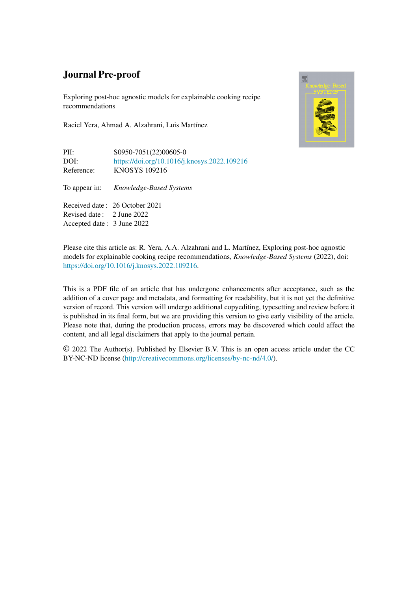Exploring post-hoc agnostic models for explainable cooking recipe recommendations

Raciel Yera, Ahmad A. Alzahrani, Luis Martínez

PII: S0950-7051(22)00605-0 DOI: <https://doi.org/10.1016/j.knosys.2022.109216> Reference: KNOSYS 109216 To appear in: *Knowledge-Based Systems* Received date : 26 October 2021 Revised date : 2 June 2022 Accepted date : 3 June 2022



Please cite this article as: R. Yera, A.A. Alzahrani and L. Martínez, Exploring post-hoc agnostic models for explainable cooking recipe recommendations, *Knowledge-Based Systems* (2022), doi: [https://doi.org/10.1016/j.knosys.2022.109216.](https://doi.org/10.1016/j.knosys.2022.109216)

This is a PDF file of an article that has undergone enhancements after acceptance, such as the addition of a cover page and metadata, and formatting for readability, but it is not yet the definitive version of record. This version will undergo additional copyediting, typesetting and review before it is published in its final form, but we are providing this version to give early visibility of the article. Please note that, during the production process, errors may be discovered which could affect the content, and all legal disclaimers that apply to the journal pertain.

© 2022 The Author(s). Published by Elsevier B.V. This is an open access article under the CC BY-NC-ND license (<http://creativecommons.org/licenses/by-nc-nd/4.0/>).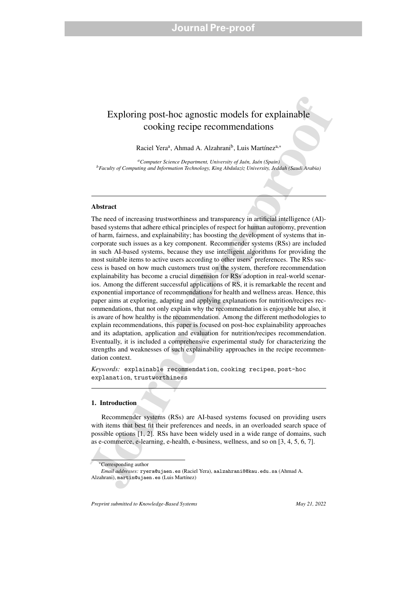## Exploring post-hoc agnostic models for explainable cooking recipe recommendations

Raciel Yera<sup>a</sup>, Ahmad A. Alzahrani<sup>b</sup>, Luis Martínez<sup>a,\*</sup>

*a*<sup>*a*</sup>*Computer Science Department, University of Jaén, Jaén (Spain) <sup>b</sup>Faculty of Computing and Information Technology, King Abdulaziz University, Jeddah (Saudi Arabia)*

#### Abstract

Exploring post-hoc agnostic models for explainable<br>cooking recipe recommendations<br> $\frac{1}{2}$ Cass Martinez<sup>3,4</sup><br> $\frac{1}{2}$ Cass Martinez<sup>3</sup><br> $\frac{1}{2}$ Cass Martinez<sup>34</sup><br> $\frac{1}{2}$ Cass Martinez<sup>3</sup><br> $\frac{1}{2}$ Cass Martinez<sup>34</sup><br> $\frac{1$ The need of increasing trustworthiness and transparency in artificial intelligence (AI) based systems that adhere ethical principles of respect for human autonomy, prevention of harm, fairness, and explainability; has boosting the development of systems that incorporate such issues as a key component. Recommender systems (RSs) are included in such AI-based systems, because they use intelligent algorithms for providing the most suitable items to active users according to other users' preferences. The RSs success is based on how much customers trust on the system, therefore recommendation explainability has become a crucial dimension for RSs adoption in real-world scenarios. Among the different successful applications of RS, it is remarkable the recent and exponential importance of recommendations for health and wellness areas. Hence, this paper aims at exploring, adapting and applying explanations for nutrition/recipes recommendations, that not only explain why the recommendation is enjoyable but also, it is aware of how healthy is the recommendation. Among the different methodologies to explain recommendations, this paper is focused on post-hoc explainability approaches and its adaptation, application and evaluation for nutrition/recipes recommendation. Eventually, it is included a comprehensive experimental study for characterizing the strengths and weaknesses of such explainability approaches in the recipe recommendation context.

*Keywords:* explainable recommendation, cooking recipes, post-hoc explanation, trustworthiness

#### 1. Introduction

Recommender systems (RSs) are AI-based systems focused on providing users with items that best fit their preferences and needs, in an overloaded search space of possible options [1, 2]. RSs have been widely used in a wide range of domains, such as e-commerce, e-learning, e-health, e-business, wellness, and so on [3, 4, 5, 6, 7].

*Preprint submitted to Knowledge-Based Systems May 21, 2022*

<sup>∗</sup>Corresponding author

*Email addresses:* ryera@ujaen.es (Raciel Yera), aalzahrani8@kau.edu.sa (Ahmad A. Alzahrani), martin@ujaen.es (Luis Martínez)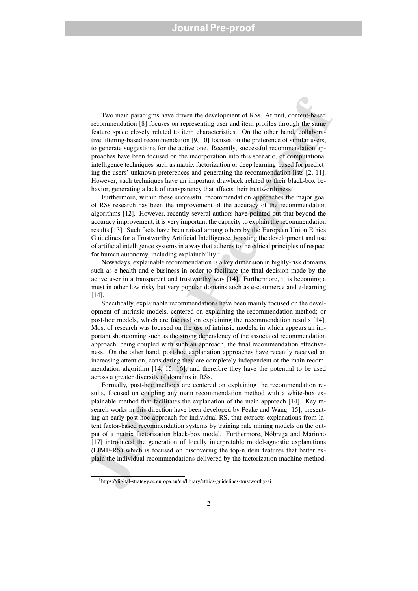Two main paradigms have driven the development of RSs. At first, concent-based<br>recommendation [8] focuses on representing user and item profiles through the same<br>feature gauge closely related to time characteristics. On t Two main paradigms have driven the development of RSs. At first, content-based recommendation [8] focuses on representing user and item profiles through the same feature space closely related to item characteristics. On the other hand, collaborative filtering-based recommendation [9, 10] focuses on the preference of similar users, to generate suggestions for the active one. Recently, successful recommendation approaches have been focused on the incorporation into this scenario, of computational intelligence techniques such as matrix factorization or deep learning-based for predicting the users' unknown preferences and generating the recommendation lists [2, 11]. However, such techniques have an important drawback related to their black-box behavior, generating a lack of transparency that affects their trustworthiness.

Furthermore, within these successful recommendation approaches the major goal of RSs research has been the improvement of the accuracy of the recommendation algorithms [12]. However, recently several authors have pointed out that beyond the accuracy improvement, it is very important the capacity to explain the recommendation results [13]. Such facts have been raised among others by the European Union Ethics Guidelines for a Trustworthy Artificial Intelligence, boosting the development and use of artificial intelligence systems in a way that adheres to the ethical principles of respect for human autonomy, including explainability  $<sup>1</sup>$ .</sup>

Nowadays, explainable recommendation is a key dimension in highly-risk domains such as e-health and e-business in order to facilitate the final decision made by the active user in a transparent and trustworthy way [14]. Furthermore, it is becoming a must in other low risky but very popular domains such as e-commerce and e-learning  $[14]$ .

Specifically, explainable recommendations have been mainly focused on the development of intrinsic models, centered on explaining the recommendation method; or post-hoc models, which are focused on explaining the recommendation results [14]. Most of research was focused on the use of intrinsic models, in which appears an important shortcoming such as the strong dependency of the associated recommendation approach, being coupled with such an approach, the final recommendation effectiveness. On the other hand, post-hoc explanation approaches have recently received an increasing attention, considering they are completely independent of the main recommendation algorithm [14, 15, 16], and therefore they have the potential to be used across a greater diversity of domains in RSs.

Formally, post-hoc methods are centered on explaining the recommendation results, focused on coupling any main recommendation method with a white-box explainable method that facilitates the explanation of the main approach [14]. Key research works in this direction have been developed by Peake and Wang [15], presenting an early post-hoc approach for individual RS, that extracts explanations from latent factor-based recommendation systems by training rule mining models on the output of a matrix factorization black-box model. Furthermore, Nóbrega and Marinho [17] introduced the generation of locally interpretable model-agnostic explanations (LIME-RS) which is focused on discovering the top-n item features that better explain the individual recommendations delivered by the factorization machine method.

<sup>1</sup>https://digital-strategy.ec.europa.eu/en/library/ethics-guidelines-trustworthy-ai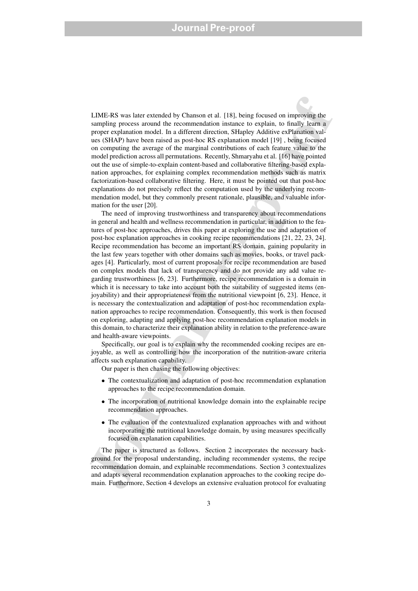LIME-RS was later extended by Chanson et al. [18], being focused on improving the sampling process around the recommendation instance to explain, to finally learn a proper explanation model. In a different direction, SHapley Additive exPlanation values (SHAP) have been raised as post-hoc RS explanation model [19] , being focused on computing the average of the marginal contributions of each feature value to the model prediction across all permutations. Recently, Shmaryahu et al. [16] have pointed out the use of simple-to-explain content-based and collaborative filtering-based explanation approaches, for explaining complex recommendation methods such as matrix factorization-based collaborative filtering. Here, it must be pointed out that post-hoc explanations do not precisely reflect the computation used by the underlying recommendation model, but they commonly present rationale, plausible, and valuable information for the user [20].

1. IMF-RS was later extended by Chanson et al. [18], heing focused on improving the<br>sampling process around the recommendation instance to explain, to finally learn a<br>proper cycleanism model. In a different direction, Sch The need of improving trustworthiness and transparency about recommendations in general and health and wellness recommendation in particular, in addition to the features of post-hoc approaches, drives this paper at exploring the use and adaptation of post-hoc explanation approaches in cooking recipe recommendations [21, 22, 23, 24]. Recipe recommendation has become an important RS domain, gaining popularity in the last few years together with other domains such as movies, books, or travel packages [4]. Particularly, most of current proposals for recipe recommendation are based on complex models that lack of transparency and do not provide any add value regarding trustworthiness [6, 23]. Furthermore, recipe recommendation is a domain in which it is necessary to take into account both the suitability of suggested items (enjoyability) and their appropriateness from the nutritional viewpoint [6, 23]. Hence, it is necessary the contextualization and adaptation of post-hoc recommendation explanation approaches to recipe recommendation. Consequently, this work is then focused on exploring, adapting and applying post-hoc recommendation explanation models in this domain, to characterize their explanation ability in relation to the preference-aware and health-aware viewpoints.

Specifically, our goal is to explain why the recommended cooking recipes are enjoyable, as well as controlling how the incorporation of the nutrition-aware criteria affects such explanation capability.

Our paper is then chasing the following objectives:

- The contextualization and adaptation of post-hoc recommendation explanation approaches to the recipe recommendation domain.
- The incorporation of nutritional knowledge domain into the explainable recipe recommendation approaches.
- The evaluation of the contextualized explanation approaches with and without incorporating the nutritional knowledge domain, by using measures specifically focused on explanation capabilities.

The paper is structured as follows. Section 2 incorporates the necessary background for the proposal understanding, including recommender systems, the recipe recommendation domain, and explainable recommendations. Section 3 contextualizes and adapts several recommendation explanation approaches to the cooking recipe domain. Furthermore, Section 4 develops an extensive evaluation protocol for evaluating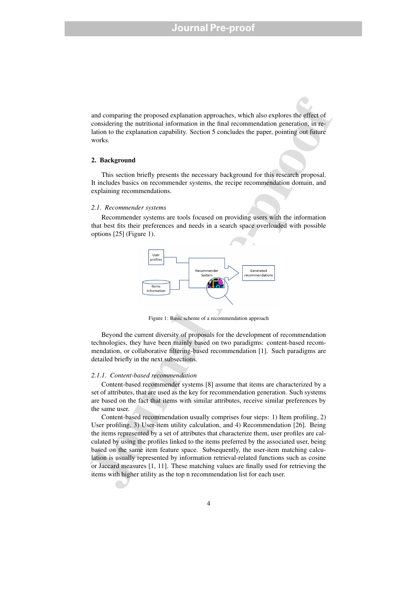and comparing the proposed explanation approaches, which also explores the effect of considering the nutritional information in the final recommendation generation, in relation to the explanation capability. Section 5 concludes the paper, pointing out future works.

#### 2. Background

This section briefly presents the necessary background for this research proposal. It includes basics on recommender systems, the recipe recommendation domain, and explaining recommendations.

#### *2.1. Recommender systems*

Recommender systems are tools focused on providing users with the information that best fits their preferences and needs in a search space overloaded with possible options [25] (Figure 1).



Figure 1: Basic scheme of a recommendation approach

Beyond the current diversity of proposals for the development of recommendation technologies, they have been mainly based on two paradigms: content-based recommendation, or collaborative filtering-based recommendation [1]. Such paradigms are detailed briefly in the next subsections.

#### *2.1.1. Content-based recommendation*

Content-based recommender systems [8] assume that items are characterized by a set of attributes, that are used as the key for recommendation generation. Such systems are based on the fact that items with similar attributes, receive similar preferences by the same user.

and comparing the proposed explanation approaches, which also explores the effect of<br>
considering the nutritional information in the final recommendation generation, in re-<br>
Is into the explanation capability. Section 5 c Content-based recommendation usually comprises four steps: 1) Item profiling, 2) User profiling, 3) User-item utility calculation, and 4) Recommendation [26]. Being the items represented by a set of attributes that characterize them, user profiles are calculated by using the profiles linked to the items preferred by the associated user, being based on the same item feature space. Subsequently, the user-item matching calculation is usually represented by information retrieval-related functions such as cosine or Jaccard measures [1, 11]. These matching values are finally used for retrieving the items with higher utility as the top n recommendation list for each user.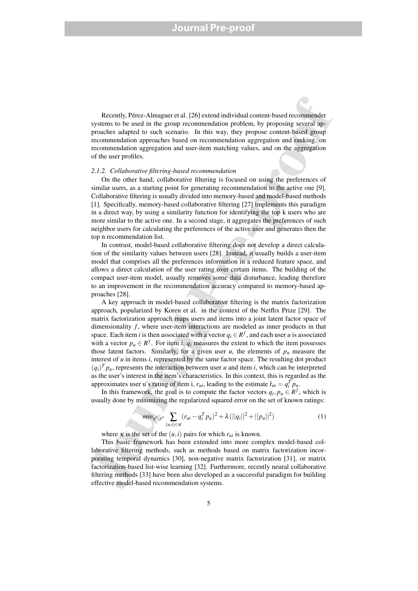Recently, Pérez-Almaguer et al. [26] extend individual content-based recommender systems to be used in the group recommendation problem, by proposing several approaches adapted to such scenario. In this way, they propose content-based group recommendation approaches based on recommendation aggregation and ranking, on recommendation aggregation and user-item matching values, and on the aggregation of the user profiles.

#### *2.1.2. Collaborative filtering-based recommendation*

On the other hand, collaborative filtering is focused on using the preferences of similar users, as a starting point for generating recommendation to the active one [9]. Collaborative filtering is usually divided into memory-based and model-based methods [1]. Specifically, memory-based collaborative filtering [27] implements this paradigm in a direct way, by using a similarity function for identifying the top k users who are more similar to the active one. In a second stage, it aggregates the preferences of such neighbor users for calculating the preferences of the active user and generates then the top n recommendation list.

In contrast, model-based collaborative filtering does not develop a direct calculation of the similarity values between users [28]. Instead, it usually builds a user-item model that comprises all the preferences information in a reduced feature space, and allows a direct calculation of the user rating over certain items. The building of the compact user-item model, usually removes some data disturbance, leading therefore to an improvement in the recommendation accuracy compared to memory-based approaches [28].

Recordity, Pfevz-Almaguer et al. [26] extend individual conten-hased recommender<br>systems to be used in the group recommendation problem. by proposing several ap-<br>proceduction to such coantine, In this way, the proposition A key approach in model-based collaborative filtering is the matrix factorization approach, popularized by Koren et al. in the context of the Netflix Prize [29]. The matrix factorization approach maps users and items into a joint latent factor space of dimensionality *f*, where user-item interactions are modeled as inner products in that space. Each item *i* is then associated with a vector  $q_i \in R^f$ , and each user *u* is associated with a vector  $p_u \in R^f$ . For item *i*,  $q_i$  measures the extent to which the item possesses those latent factors. Similarly, for a given user  $u$ , the elements of  $p_u$  measure the interest of *u* in items *i*, represented by the same factor space. The resulting dot product  $(q_i)^T p_u$ , represents the interaction between user *u* and item *i*, which can be interpreted as the user's interest in the item's characteristics. In this context, this is regarded as the approximates user u's rating of item i,  $r_{ui}$ , leading to the estimate  $\tilde{r}_{ui} = q_i^T p_u$ .

In this framework, the goal is to compute the factor vectors  $q_i, p_u \in R^f$ , which is usually done by minimizing the regularized squared error on the set of known ratings:

$$
min_{q^*,p^*} \sum_{(u,i)\in\kappa} (r_{ui} - q_i^T p_u)^2 + \lambda (||q_i||^2 + ||p_u||^2)
$$
 (1)

where  $\kappa$  is the set of the  $(u, i)$  pairs for which  $r_{ui}$  is known.

This basic framework has been extended into more complex model-based collaborative filtering methods, such as methods based on matrix factorization incorporating temporal dynamics [30], non-negative matrix factorization [31], or matrix factorization-based list-wise learning [32]. Furthermore, recently neural collaborative filtering methods [33] have been also developed as a successful paradigm for building effective model-based recommendation systems.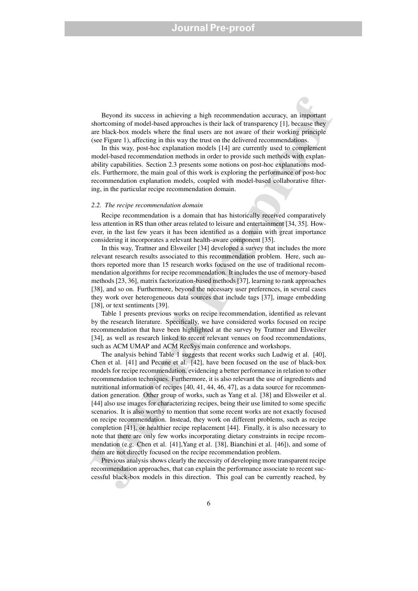Beyond its success in achieving a high recommendation accuracy, an important shortcoming of model-based approaches is their lack of transparency [1], because they are black-box models where the final users are not aware of their working principle (see Figure 1), affecting in this way the trust on the delivered recommendations.

In this way, post-hoc explanation models [14] are currently used to complement model-based recommendation methods in order to provide such methods with explanability capabilities. Section 2.3 presents some notions on post-hoc explanations models. Furthermore, the main goal of this work is exploring the performance of post-hoc recommendation explanation models, coupled with model-based collaborative filtering, in the particular recipe recommendation domain.

#### *2.2. The recipe recommendation domain*

Recipe recommendation is a domain that has historically received comparatively less attention in RS than other areas related to leisure and entertainment [34, 35]. However, in the last few years it has been identified as a domain with great importance considering it incorporates a relevant health-aware component [35].

In this way, Trattner and Elsweiler [34] developed a survey that includes the more relevant research results associated to this recommendation problem. Here, such authors reported more than 15 research works focused on the use of traditional recommendation algorithms for recipe recommendation. It includes the use of memory-based methods [23, 36], matrix factorization-based methods [37], learning to rank approaches [38], and so on. Furthermore, beyond the necessary user preferences, in several cases they work over heterogeneous data sources that include tags [37], image embedding [38], or text sentiments [39].

Table 1 presents previous works on recipe recommendation, identified as relevant by the research literature. Specifically, we have considered works focused on recipe recommendation that have been highlighted at the survey by Trattner and Elsweiler [34], as well as research linked to recent relevant venues on food recommendations, such as ACM UMAP and ACM RecSys main conference and workshops.

Beyond its success in achieving a high recommendation accuracy, an important<br>shortcoming of model-based approaches is their lack of transparency [1], because they<br>are the back-how model-based approaches is their lack of t The analysis behind Table 1 suggests that recent works such Ludwig et al. [40], Chen et al. [41] and Pecune et al. [42], have been focused on the use of black-box models for recipe recommendation, evidencing a better performance in relation to other recommendation techniques. Furthermore, it is also relevant the use of ingredients and nutritional information of recipes [40, 41, 44, 46, 47], as a data source for recommendation generation. Other group of works, such as Yang et al. [38] and Elsweiler et al. [44] also use images for characterizing recipes, being their use limited to some specific scenarios. It is also worthy to mention that some recent works are not exactly focused on recipe recommendation. Instead, they work on different problems, such as recipe completion [41], or healthier recipe replacement [44]. Finally, it is also necessary to note that there are only few works incorporating dietary constraints in recipe recommendation (e.g. Chen et al. [41],Yang et al. [38], Bianchini et al. [46]), and some of them are not directly focused on the recipe recommendation problem.

Previous analysis shows clearly the necessity of developing more transparent recipe recommendation approaches, that can explain the performance associate to recent successful black-box models in this direction. This goal can be currently reached, by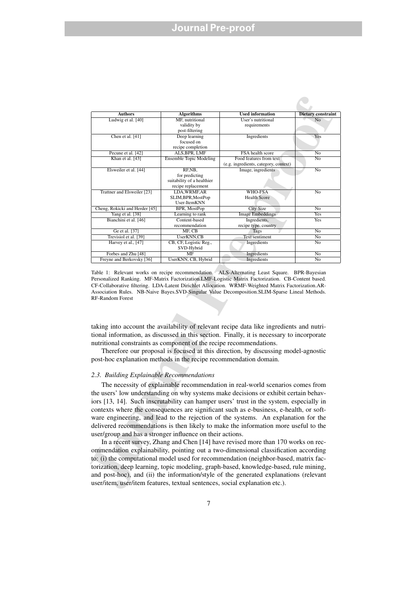| Authors                                                                                                                                  | <b>Algorithms</b>                                                            | <b>Used information</b>                                                                                                                                                                                                                                                                                                                                     | <b>Dietary constraint</b> |
|------------------------------------------------------------------------------------------------------------------------------------------|------------------------------------------------------------------------------|-------------------------------------------------------------------------------------------------------------------------------------------------------------------------------------------------------------------------------------------------------------------------------------------------------------------------------------------------------------|---------------------------|
| Ludwig et al. [40]                                                                                                                       | MF, nutritional<br>validity by<br>post-filtering                             | User's nutritional<br>requirements                                                                                                                                                                                                                                                                                                                          | No                        |
| Chen et al. [41]                                                                                                                         | Deep learning<br>focused on<br>recipe completion                             | Ingredients                                                                                                                                                                                                                                                                                                                                                 | Yes                       |
| Pecune et al. [42]                                                                                                                       | ALS, BPR, LMF                                                                | FSA health score                                                                                                                                                                                                                                                                                                                                            | No                        |
| Khan et al. [43]                                                                                                                         | <b>Ensemble Topic Modeling</b>                                               | Food features from text<br>(e.g. ingredients, category, context)                                                                                                                                                                                                                                                                                            | No                        |
| Elsweiler et al. [44]                                                                                                                    | RF,NB,<br>for predicting<br>suitability of a healthier<br>recipe replacement | Image, ingredients                                                                                                                                                                                                                                                                                                                                          | No                        |
| Trattner and Elsweiler [23]                                                                                                              | LDA, WRMF, AR<br>SLIM, BPR, MostPop<br>User-ItemKNN                          | WHO-FSA<br><b>Health Score</b>                                                                                                                                                                                                                                                                                                                              | No                        |
| Cheng, Rokicki and Herder [45]                                                                                                           | BPR, MostPop                                                                 | <b>City Size</b>                                                                                                                                                                                                                                                                                                                                            | No                        |
| Yang et al. [38]                                                                                                                         | Learning to rank                                                             | <b>Image Embeddings</b>                                                                                                                                                                                                                                                                                                                                     | Yes                       |
| Bianchini et al. [46]                                                                                                                    | Content-based<br>recommendation                                              | Ingredients,<br>recipe type, country                                                                                                                                                                                                                                                                                                                        | Yes                       |
| Ge et al. [37]                                                                                                                           | MF, CB                                                                       | Tags                                                                                                                                                                                                                                                                                                                                                        | No                        |
| Trevisiol et al. [39]<br>Harvey et al., [47]                                                                                             | UserKNN,CB<br>CB, CF, Logistic Reg.,<br>SVD-Hybrid                           | Text sentiment<br>Ingredients                                                                                                                                                                                                                                                                                                                               | No<br>No                  |
| Forbes and Zhu [48]                                                                                                                      | MF                                                                           | Ingredients                                                                                                                                                                                                                                                                                                                                                 | No                        |
| Freyne and Berkovsky [36]                                                                                                                | UserKNN, CB, Hybrid                                                          | Ingredients                                                                                                                                                                                                                                                                                                                                                 | No                        |
|                                                                                                                                          |                                                                              |                                                                                                                                                                                                                                                                                                                                                             |                           |
| nutritional constraints as component of the recipe recommendations.<br>post-hoc explanation methods in the recipe recommendation domain. |                                                                              | taking into account the availability of relevant recipe data like ingredients and nutri-<br>tional information, as discussed in this section. Finally, it is necessary to incorporate<br>Therefore our proposal is focused at this direction, by discussing model-agnostic                                                                                  |                           |
| 2.3. Building Explainable Recommendations                                                                                                |                                                                              |                                                                                                                                                                                                                                                                                                                                                             |                           |
| ware engineering, and lead to the rejection of the systems. An explanation for the                                                       |                                                                              | The necessity of explainable recommendation in real-world scenarios comes from<br>the users' low understanding on why systems make decisions or exhibit certain behav-<br>iors [13, 14]. Such inscrutability can hamper users' trust in the system, especially in<br>contexts where the consequences are significant such as e-business, e-health, or soft- |                           |

#### *2.3. Building Explainable Recommendations*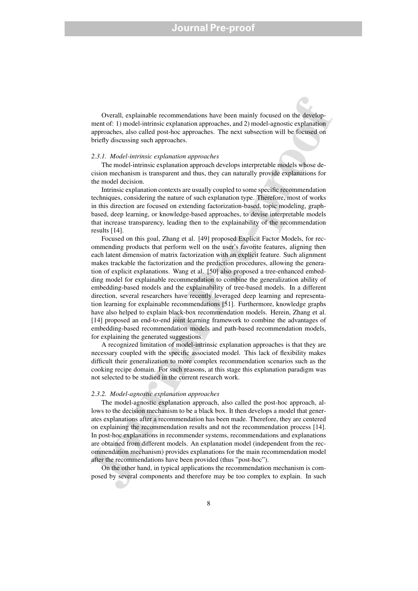Overall, explainable recommendations have been mainly focused on the development of: 1) model-intrinsic explanation approaches, and 2) model-agnostic explanation approaches, also called post-hoc approaches. The next subsection will be focused on briefly discussing such approaches.

#### *2.3.1. Model-intrinsic explanation approaches*

The model-intrinsic explanation approach develops interpretable models whose decision mechanism is transparent and thus, they can naturally provide explanations for the model decision.

Intrinsic explanation contexts are usually coupled to some specific recommendation techniques, considering the nature of such explanation type. Therefore, most of works in this direction are focused on extending factorization-based, topic modeling, graphbased, deep learning, or knowledge-based approaches, to devise interpretable models that increase transparency, leading then to the explainability of the recommendation results [14].

Oventil, explainable recommendations have been mainly focused on the dyelopment of: 1) model-intrasic explanation approaches, and 2) model-agnositic explanation approaches, and 2) model-agnositic explanation approaches. T Focused on this goal, Zhang et al. [49] proposed Explicit Factor Models, for recommending products that perform well on the user's favorite features, aligning then each latent dimension of matrix factorization with an explicit feature. Such alignment makes trackable the factorization and the prediction procedures, allowing the generation of explicit explanations. Wang et al. [50] also proposed a tree-enhanced embedding model for explainable recommendation to combine the generalization ability of embedding-based models and the explainability of tree-based models. In a different direction, several researchers have recently leveraged deep learning and representation learning for explainable recommendations [51]. Furthermore, knowledge graphs have also helped to explain black-box recommendation models. Herein, Zhang et al. [14] proposed an end-to-end joint learning framework to combine the advantages of embedding-based recommendation models and path-based recommendation models, for explaining the generated suggestions.

A recognized limitation of model-intrinsic explanation approaches is that they are necessary coupled with the specific associated model. This lack of flexibility makes difficult their generalization to more complex recommendation scenarios such as the cooking recipe domain. For such reasons, at this stage this explanation paradigm was not selected to be studied in the current research work.

#### *2.3.2. Model-agnostic explanation approaches*

The model-agnostic explanation approach, also called the post-hoc approach, allows to the decision mechanism to be a black box. It then develops a model that generates explanations after a recommendation has been made. Therefore, they are centered on explaining the recommendation results and not the recommendation process [14]. In post-hoc explanations in recommender systems, recommendations and explanations are obtained from different models. An explanation model (independent from the recommendation mechanism) provides explanations for the main recommendation model after the recommendations have been provided (thus "post-hoc").

On the other hand, in typical applications the recommendation mechanism is composed by several components and therefore may be too complex to explain. In such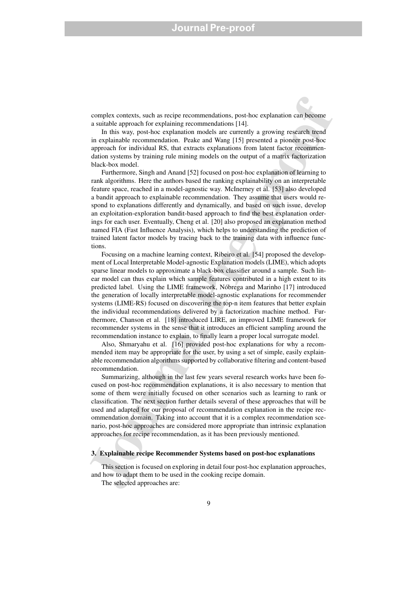complex contexts, such as recipe recommendations, post-hoc explanation can become a suitable approach for explaining recommendations [14].

In this way, post-hoc explanation models are currently a growing research trend in explainable recommendation. Peake and Wang [15] presented a pioneer post-hoc approach for individual RS, that extracts explanations from latent factor recommendation systems by training rule mining models on the output of a matrix factorization black-box model.

Furthermore, Singh and Anand [52] focused on post-hoc explanation of learning to rank algorithms. Here the authors based the ranking explainability on an interpretable feature space, reached in a model-agnostic way. McInerney et al. [53] also developed a bandit approach to explainable recommendation. They assume that users would respond to explanations differently and dynamically, and based on such issue, develop an exploitation-exploration bandit-based approach to find the best explanation orderings for each user. Eventually, Cheng et al. [20] also proposed an explanation method named FIA (Fast Influence Analysis), which helps to understanding the prediction of trained latent factor models by tracing back to the training data with influence functions.

complex contexts, such as recipe recommendations, post-hoc explanation can become a suitable approach for explaining recommendations [14], in this way, post-hoc explanation readed are correlated in presented a pioneis rel Focusing on a machine learning context, Ribeiro et al. [54] proposed the development of Local Interpretable Model-agnostic Explanation models (LIME), which adopts sparse linear models to approximate a black-box classifier around a sample. Such linear model can thus explain which sample features contributed in a high extent to its predicted label. Using the LIME framework, Nóbrega and Marinho [17] introduced the generation of locally interpretable model-agnostic explanations for recommender systems (LIME-RS) focused on discovering the top-n item features that better explain the individual recommendations delivered by a factorization machine method. Furthermore, Chanson et al. [18] introduced LIRE, an improved LIME framework for recommender systems in the sense that it introduces an efficient sampling around the recommendation instance to explain, to finally learn a proper local surrogate model.

Also, Shmaryahu et al. [16] provided post-hoc explanations for why a recommended item may be appropriate for the user, by using a set of simple, easily explainable recommendation algorithms supported by collaborative filtering and content-based recommendation.

Summarizing, although in the last few years several research works have been focused on post-hoc recommendation explanations, it is also necessary to mention that some of them were initially focused on other scenarios such as learning to rank or classification. The next section further details several of these approaches that will be used and adapted for our proposal of recommendation explanation in the recipe recommendation domain. Taking into account that it is a complex recommendation scenario, post-hoc approaches are considered more appropriate than intrinsic explanation approaches for recipe recommendation, as it has been previously mentioned.

#### 3. Explainable recipe Recommender Systems based on post-hoc explanations

This section is focused on exploring in detail four post-hoc explanation approaches, and how to adapt them to be used in the cooking recipe domain.

The selected approaches are: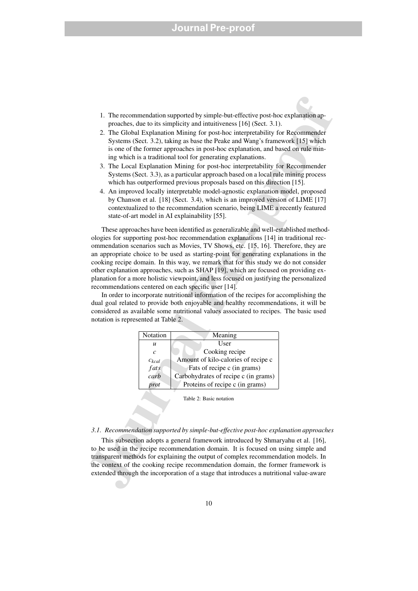- 1. The recommendation supported by simple-but-effective post-hoc explanation approaches, due to its simplicity and intuitiveness [16] (Sect. 3.1).
- 2. The Global Explanation Mining for post-hoc interpretability for Recommender Systems (Sect. 3.2), taking as base the Peake and Wang's framework [15] which is one of the former approaches in post-hoc explanation, and based on rule mining which is a traditional tool for generating explanations.
- 3. The Local Explanation Mining for post-hoc interpretability for Recommender Systems (Sect. 3.3), as a particular approach based on a local rule mining process which has outperformed previous proposals based on this direction [15].
- 4. An improved locally interpretable model-agnostic explanation model, proposed by Chanson et al. [18] (Sect. 3.4), which is an improved version of LIME [17] contextualized to the recommendation scenario, being LIME a recently featured state-of-art model in AI explainability [55].

1. The recommendation supported by simple-but-effective post-hoc explanation ap-<br>procedes, due to its simplicity and intuitiveness [16] (Sect. 3.1).<br>
2. The Global Explanation Mining to presche contraction (Fig. Recommend These approaches have been identified as generalizable and well-established methodologies for supporting post-hoc recommendation explanations [14] in traditional recommendation scenarios such as Movies, TV Shows, etc. [15, 16]. Therefore, they are an appropriate choice to be used as starting-point for generating explanations in the cooking recipe domain. In this way, we remark that for this study we do not consider other explanation approaches, such as SHAP [19], which are focused on providing explanation for a more holistic viewpoint, and less focused on justifying the personalized recommendations centered on each specific user [14].

In order to incorporate nutritional information of the recipes for accomplishing the dual goal related to provide both enjoyable and healthy recommendations, it will be considered as available some nutritional values associated to recipes. The basic used notation is represented at Table 2.

| Notation          | Meaning                              |
|-------------------|--------------------------------------|
| u                 | User                                 |
| c                 | Cooking recipe                       |
| $c_{kcal}$        | Amount of kilo-calories of recipe c  |
| fats              | Fats of recipe c (in grams)          |
| $\overline{carb}$ | Carbohydrates of recipe c (in grams) |
|                   | Proteins of recipe c (in grams)      |

Table 2: Basic notation

#### *3.1. Recommendation supported by simple-but-effective post-hoc explanation approaches*

This subsection adopts a general framework introduced by Shmaryahu et al. [16], to be used in the recipe recommendation domain. It is focused on using simple and transparent methods for explaining the output of complex recommendation models. In the context of the cooking recipe recommendation domain, the former framework is extended through the incorporation of a stage that introduces a nutritional value-aware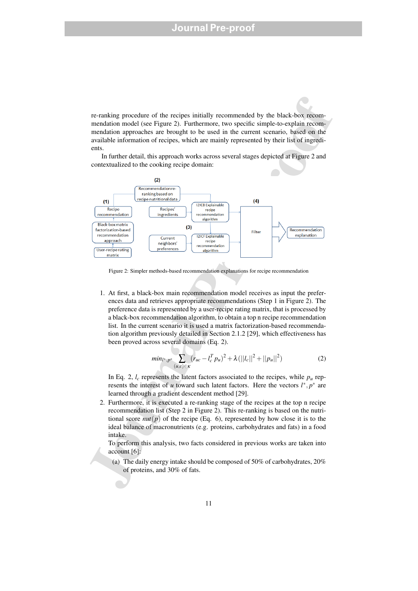re-ranking procedure of the recipes initially recommended by the black-box recommendation model (see Figure 2). Furthermore, two specific simple-to-explain recommendation approaches are brought to be used in the current scenario, based on the available information of recipes, which are mainly represented by their list of ingredients.

In further detail, this approach works across several stages depicted at Figure 2 and contextualized to the cooking recipe domain:



Figure 2: Simpler methods-based recommendation explanations for recipe recommendation

1. At first, a black-box main recommendation model receives as input the preferences data and retrieves appropriate recommendations (Step 1 in Figure 2). The preference data is represented by a user-recipe rating matrix, that is processed by a black-box recommendation algorithm, to obtain a top n recipe recommendation list. In the current scenario it is used a matrix factorization-based recommendation algorithm previously detailed in Section 2.1.2 [29], which effectiveness has been proved across several domains (Eq. 2).

$$
min_{l^*,p^*} \sum_{(u,c)\in K} (r_{uc} - l_c^T p_u)^2 + \lambda (||l_c||^2 + ||p_u||^2)
$$
 (2)

In Eq. 2,  $l_c$  represents the latent factors associated to the recipes, while  $p_u$  represents the interest of *u* toward such latent factors. Here the vectors  $l^*, p^*$  are learned through a gradient descendent method [29].

2. Furthermore, it is executed a re-ranking stage of the recipes at the top n recipe recommendation list (Step 2 in Figure 2). This re-ranking is based on the nutritional score  $nu(p)$  of the recipe (Eq. 6), represented by how close it is to the ideal balance of macronutrients (e.g. proteins, carbohydrates and fats) in a food intake.

To perform this analysis, two facts considered in previous works are taken into account [6]:

(a) The daily energy intake should be composed of 50% of carbohydrates, 20% of proteins, and 30% of fats.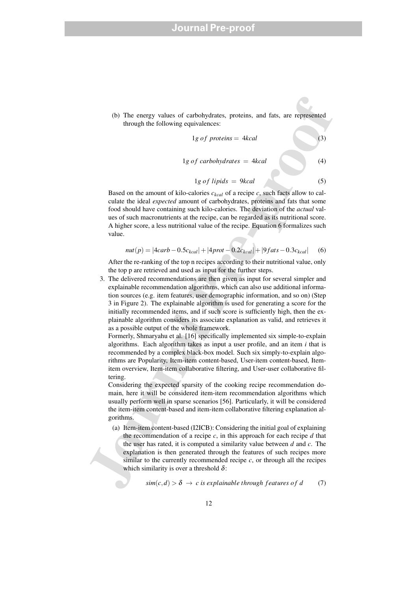(b) The energy values of carbohydrates, proteins, and fats, are represented through the following equivalences:

$$
1g \text{ of proteins} = 4kcal
$$
\n
$$
1g \text{ of carbohydrates} = 4kcal
$$
\n
$$
(3)
$$
\n
$$
(4)
$$

$$
1g \text{ of } lipids = 9kcal \tag{5}
$$

Based on the amount of kilo-calories *ckcal* of a recipe *c*, such facts allow to calculate the ideal *expected* amount of carbohydrates, proteins and fats that some food should have containing such kilo-calories. The deviation of the *actual* values of such macronutrients at the recipe, can be regarded as its nutritional score. A higher score, a less nutritional value of the recipe. Equation 6 formalizes such value.

$$
nut(p) = |4carb - 0.5c_{kcal}| + |4prot - 0.2c_{kcal}| + |9fats - 0.3c_{kcal}|
$$
 (6)

After the re-ranking of the top n recipes according to their nutritional value, only the top p are retrieved and used as input for the further steps.

(b) The conergy values of carbohydrates, proteins, and fats, are represented<br>through the following equivalences:<br> $\lg of proteins = 4kcal$  (4)<br> $\lg$  of carbohydrates = 4.<br> $\lg$  of proteins = 4.<br> $\lg$  of proteins = 4.<br> $\lg$  of proteins = 3. The delivered recommendations are then given as input for several simpler and explainable recommendation algorithms, which can also use additional information sources (e.g. item features, user demographic information, and so on) (Step 3 in Figure 2). The explainable algorithm is used for generating a score for the initially recommended items, and if such score is sufficiently high, then the explainable algorithm considers its associate explanation as valid, and retrieves it as a possible output of the whole framework.

Formerly, Shmaryahu et al. [16] specifically implemented six simple-to-explain algorithms. Each algorithm takes as input a user profile, and an item *i* that is recommended by a complex black-box model. Such six simply-to-explain algorithms are Popularity, Item-item content-based, User-item content-based, Itemitem overview, Item-item collaborative filtering, and User-user collaborative filtering.

Considering the expected sparsity of the cooking recipe recommendation domain, here it will be considered item-item recommendation algorithms which usually perform well in sparse scenarios [56]. Particularly, it will be considered the item-item content-based and item-item collaborative filtering explanation algorithms.

(a) Item-item content-based (I2ICB): Considering the initial goal of explaining the recommendation of a recipe *c*, in this approach for each recipe *d* that the user has rated, it is computed a similarity value between *d* and *c*. The explanation is then generated through the features of such recipes more similar to the currently recommended recipe  $c$ , or through all the recipes which similarity is over a threshold  $\delta$ :

$$
sim(c,d) > \delta \rightarrow c \text{ is explainable through features of } d \qquad (7)
$$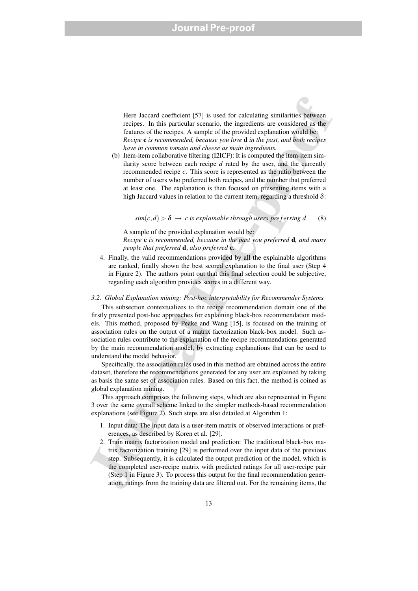Here Jaccard coefficient [57] is used for calculating similarities between recipes. In this particular scenario, the ingredients are considered as the features of the recipes. A sample of the provided explanation would be: *Recipe* c *is recommended, because you love* d *in the past, and both recipes have in common tomato and cheese as main ingredients.*

(b) Item-item collaborative filtering (I2ICF): It is computed the item-item similarity score between each recipe *d* rated by the user, and the currently recommended recipe *c*. This score is represented as the ratio between the number of users who preferred both recipes, and the number that preferred at least one. The explanation is then focused on presenting items with a high Jaccard values in relation to the current item, regarding a threshold  $\delta$ :

 $\sin(c,d) > \delta \rightarrow c$  *is explainable through users preferring d* (8)

A sample of the provided explanation would be:

*Recipe* c *is recommended, because in the past you preferred* d*, and many people that preferred* d, *also preferred* c.

4. Finally, the valid recommendations provided by all the explainable algorithms are ranked, finally shown the best scored explanation to the final user (Step 4 in Figure 2). The authors point out that this final selection could be subjective, regarding each algorithm provides scores in a different way.

#### *3.2. Global Explanation mining: Post-hoc interpretability for Recommender Systems*

Here Jaccord coefficient [57] is used for calculating similarities between<br>recipes. In this particular sensatio, the ingredients are considered as the<br>frammes of the recipes  $A$  sample of the previous cylinder splanation This subsection contextualizes to the recipe recommendation domain one of the firstly presented post-hoc approaches for explaining black-box recommendation models. This method, proposed by Peake and Wang [15], is focused on the training of association rules on the output of a matrix factorization black-box model. Such association rules contribute to the explanation of the recipe recommendations generated by the main recommendation model, by extracting explanations that can be used to understand the model behavior.

Specifically, the association rules used in this method are obtained across the entire dataset, therefore the recommendations generated for any user are explained by taking as basis the same set of association rules. Based on this fact, the method is coined as global explanation mining.

This approach comprises the following steps, which are also represented in Figure 3 over the same overall scheme linked to the simpler methods-based recommendation explanations (see Figure 2). Such steps are also detailed at Algorithm 1:

- 1. Input data: The input data is a user-item matrix of observed interactions or preferences, as described by Koren et al. [29].
- 2. Train matrix factorization model and prediction: The traditional black-box matrix factorization training [29] is performed over the input data of the previous step. Subsequently, it is calculated the output prediction of the model, which is the completed user-recipe matrix with predicted ratings for all user-recipe pair (Step 1 in Figure 3). To process this output for the final recommendation generation, ratings from the training data are filtered out. For the remaining items, the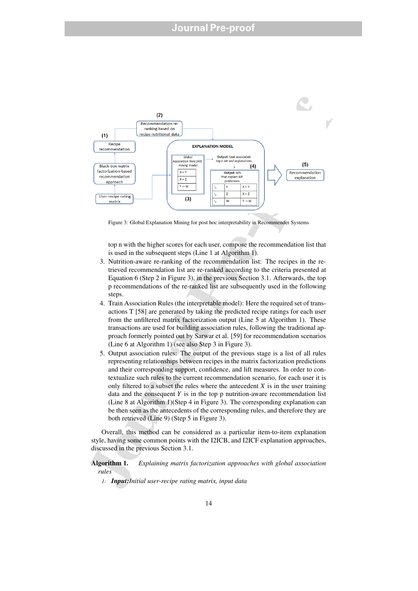

Figure 3: Global Explanation Mining for post hoc interpretability in Recommender Systems

top n with the higher scores for each user, compose the recommendation list that is used in the subsequent steps (Line 1 at Algorithm 1).

- 3. Nutrition-aware re-ranking of the recommendation list: The recipes in the retrieved recommendation list are re-ranked according to the criteria presented at Equation 6 (Step 2 in Figure 3), in the previous Section 3.1. Afterwards, the top p recommendations of the re-ranked list are subsequently used in the following steps.
- 4. Train Association Rules (the interpretable model): Here the required set of transactions T [58] are generated by taking the predicted recipe ratings for each user from the unfiltered matrix factorization output (Line 5 at Algorithm 1). These transactions are used for building association rules, following the traditional approach formerly pointed out by Sarwar et al. [59] for recommendation scenarios (Line 6 at Algorithm 1) (see also Step 3 in Figure 3).
- 5. Output association rules: The output of the previous stage is a list of all rules representing relationships between recipes in the matrix factorization predictions and their corresponding support, confidence, and lift measures. In order to contextualize such rules to the current recommendation scenario, for each user it is only filtered to a subset the rules where the antecedent  $X$  is in the user training data and the consequent  $Y$  is in the top  $p$  nutrition-aware recommendation list (Line 8 at Algorithm 1)(Step 4 in Figure 3). The corresponding explanation can be then seen as the antecedents of the corresponding rules, and therefore they are both retrieved (Line 9) (Step 5 in Figure 3).

Overall, this method can be considered as a particular item-to-item explanation style, having some common points with the I2ICB, and I2ICF explanation approaches, discussed in the previous Section 3.1.

Algorithm 1. *Explaining matrix factorization approaches with global association rules*

*1: Input:Initial user-recipe rating matrix, input data*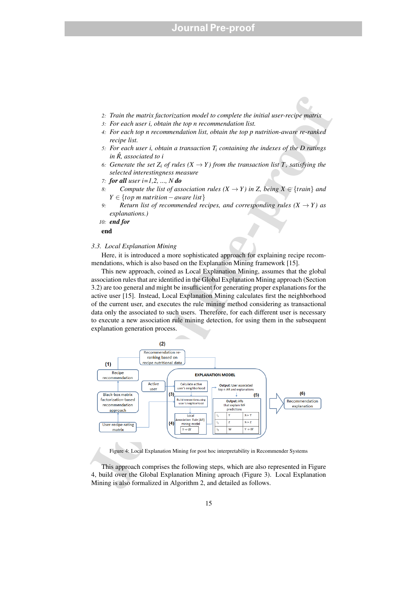- *2: Train the matrix factorization model to complete the initial user-recipe matrix*
- *3: For each user i, obtain the top n recommendation list.*
- *4: For each top n recommendation list, obtain the top p nutrition-aware re-ranked recipe list.*
- *5: For each user i, obtain a transaction T<sup>i</sup> containing the indexes of the D ratings in R, associated to i ˆ*
- 6: Generate the set  $Z_i$  *of rules*  $(X \rightarrow Y)$  *from the transaction list*  $T$ *, satisfying the selected interestingness measure*
- *7: for all user i=1,2, ..., N do*
- *8: Compute the list of association rules*  $(X \rightarrow Y)$  *in Z, being*  $X \in \{train\}$  *and Y* ∈ {*top m nutrition*−*aware list*}
- *9: Return list of recommended recipes, and corresponding rules*  $(X \rightarrow Y)$  *as explanations.)*
- *10: end for*

end

#### *3.3. Local Explanation Mining*

Here, it is introduced a more sophisticated approach for explaining recipe recommendations, which is also based on the Explanation Mining framework [15].

This new approach, coined as Local Explanation Mining, assumes that the global association rules that are identified in the Global Explanation Mining approach (Section 3.2) are too general and might be insufficient for generating proper explanations for the active user [15]. Instead, Local Explanation Mining calculates first the neighborhood of the current user, and executes the rule mining method considering as transactional data only the associated to such users. Therefore, for each different user is necessary to execute a new association rule mining detection, for using them in the subsequent explanation generation process.



Figure 4: Local Explanation Mining for post hoc interpretability in Recommender Systems

This approach comprises the following steps, which are also represented in Figure 4, build over the Global Explanation Mining aproach (Figure 3). Local Explanation Mining is also formalized in Algorithm 2, and detailed as follows.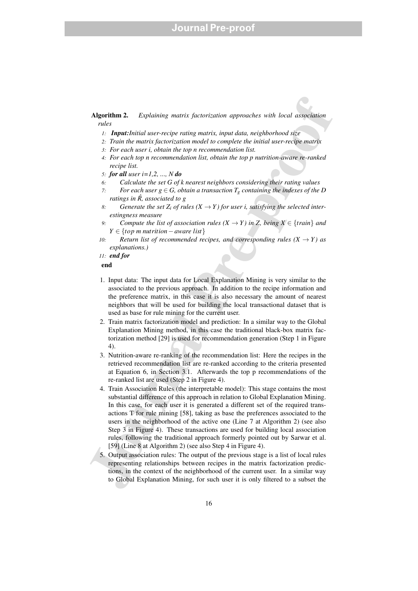Algorithm 2. *Explaining matrix factorization approaches with local association rules*

- *1: Input:Initial user-recipe rating matrix, input data, neighborhood size*
- *2: Train the matrix factorization model to complete the initial user-recipe matrix*
- *3: For each user i, obtain the top n recommendation list.*
- *4: For each top n recommendation list, obtain the top p nutrition-aware re-ranked recipe list.*
- *5: for all user i=1,2, ..., N do*
- *6: Calculate the set G of k nearest neighbors considering their rating values*
- *7:* For each user  $g \in G$ , obtain a transaction  $T_g$  containing the indexes of the D *ratings in*  $\hat{R}$ *, associated to g*
- *8:* Generate the set  $Z_i$  of rules  $(X \rightarrow Y)$  for user i, satisfying the selected inter*estingness measure*
- *9: Compute the list of association rules*  $(X \rightarrow Y)$  *in Z, being*  $X \in \{train\}$  *and Y* ∈ {*top m nutrition*−*aware list*}
- *10: Return list of recommended recipes, and corresponding rules*  $(X \rightarrow Y)$  *as explanations.)*
- *11: end for*

#### end

- 1. Input data: The input data for Local Explanation Mining is very similar to the associated to the previous approach. In addition to the recipe information and the preference matrix, in this case it is also necessary the amount of nearest neighbors that will be used for building the local transactional dataset that is used as base for rule mining for the current user.
- 2. Train matrix factorization model and prediction: In a similar way to the Global Explanation Mining method, in this case the traditional black-box matrix factorization method [29] is used for recommendation generation (Step 1 in Figure 4).
- 3. Nutrition-aware re-ranking of the recommendation list: Here the recipes in the retrieved recommendation list are re-ranked according to the criteria presented at Equation 6, in Section 3.1. Afterwards the top p recommendations of the re-ranked list are used (Step 2 in Figure 4).
- **Algorithm 2.** Explaining matrix factorization approaches with local association<br>
1. Inputshistic secrection rating matrix, input dota, neighborhood six<br>
1. Inputshistic secrection rating matrix, input dota, neighborhood 4. Train Association Rules (the interpretable model): This stage contains the most substantial difference of this approach in relation to Global Explanation Mining. In this case, for each user it is generated a different set of the required transactions T for rule mining [58], taking as base the preferences associated to the users in the neighborhood of the active one (Line 7 at Algorithm 2) (see also Step 3 in Figure 4). These transactions are used for building local association rules, following the traditional approach formerly pointed out by Sarwar et al. [59] (Line 8 at Algorithm 2) (see also Step 4 in Figure 4).
	- 5. Output association rules: The output of the previous stage is a list of local rules representing relationships between recipes in the matrix factorization predictions, in the context of the neighborhood of the current user. In a similar way to Global Explanation Mining, for such user it is only filtered to a subset the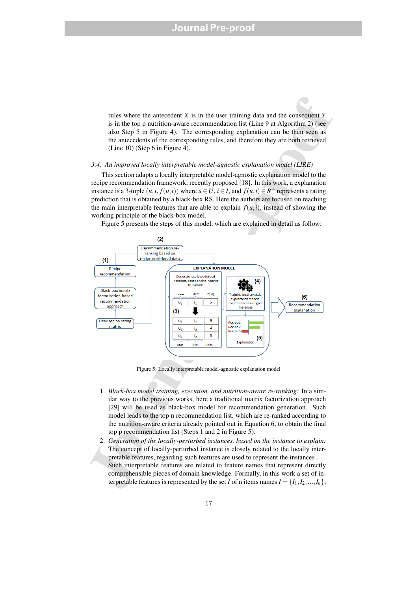rules where the antecedent *X* is in the user training data and the consequent *Y* is in the top p nutrition-aware recommendation list (Line 9 at Algorithm 2) (see also Step 5 in Figure 4). The corresponding explanation can be then seen as the antecedents of the corresponding rules, and therefore they are both retrieved (Line 10) (Step 6 in Figure 4).

#### *3.4. An improved locally interpretable model-agnostic explanation model (LIRE)*

This section adapts a locally interpretable model-agnostic explanation model to the recipe recommendation framework, recently proposed [18]. In this work, a explanation instance is a 3-tuple  $(u, i, f(u, i))$  where  $u \in U$ ,  $i \in I$ , and  $f(u, i) \in R^+$  represents a rating prediction that is obtained by a black-box RS. Here the authors are focused on reaching the main interpretable features that are able to explain  $f(u, i)$ , instead of showing the working principle of the black-box model.

Figure 5 presents the steps of this model, which are explained in detail as follow:



Figure 5: Locally interpretable model-agnostic explanation model

- 1. *Black-box model training, execution, and nutrition-aware re-ranking:* In a similar way to the previous works, here a traditional matrix factorization approach [29] will be used as black-box model for recommendation generation. Such model leads to the top n recommendation list, which are re-ranked according to the nutrition-aware criteria already pointed out in Equation 6, to obtain the final top p recommendation list (Steps 1 and 2 in Figure 5).
- 2. *Generation of the locally-perturbed instances, based on the instance to explain:* The concept of locally-perturbed instance is closely related to the locally interpretable features, regarding such features are used to represent the instances .
	- Such interpretable features are related to feature names that represent directly comprehensible pieces of domain knowledge. Formally, in this work a set of interpretable features is represented by the set *I* of n items names  $I = \{I_1, I_2, ..., I_n\}$ ,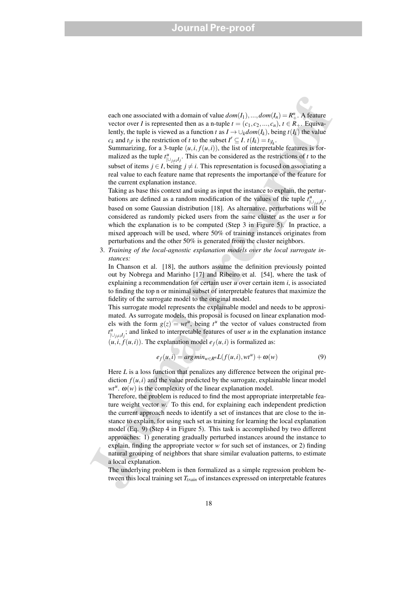each one associated with a domain of value  $dom(I_1),..., dom(I_n) = R^n_+$ . A feature vector over *I* is represented then as a n-tuple  $t = (c_1, c_2, ..., c_n), t \in R_+$ . Equivalently, the tuple is viewed as a function *t* as  $I \rightarrow \bigcup_k dom(I_k)$ , being  $t(I_k)$  the value  $c_k$  and  $t_{|I|}$  is the restriction of *t* to the subset  $I' \subseteq I$ .  $t(I_k) = t_{|I_k}$ .

Summarizing, for a 3-tuple  $(u, i, f(u, i))$ , the list of interpretable features is formalized as the tuple  $t_{\parallel}^u$  $\int_{|U_{j\neq i}I_j}^u$ . This can be considered as the restrictions of *t* to the subset of items  $j \in I$ , being  $j \neq i$ . This representation is focused on associating a real value to each feature name that represents the importance of the feature for the current explanation instance.

Taking as base this context and using as input the instance to explain, the perturbations are defined as a random modification of the values of the tuple  $t_{\parallel}^u$  $\bigcup_{j\neq i}$ *I<sub>j</sub>*, based on some Gaussian distribution [18]. As alternative, perturbations will be considered as randomly picked users from the same cluster as the user *u* for which the explanation is to be computed (Step 3 in Figure 5). In practice, a mixed approach will be used, where 50% of training instances originates from perturbations and the other 50% is generated from the cluster neighbors.

3. *Training of the local-agnostic explanation models over the local surrogate instances:*

In Chanson et al. [18], the authors assume the definition previously pointed out by Nobrega and Marinho [17] and Ribeiro et al. [54], where the task of explaining a recommendation for certain user *u* over certain item *i*, is associated to finding the top n or minimal subset of interpretable features that maximize the fidelity of the surrogate model to the original model.

This surrogate model represents the explainable model and needs to be approximated. As surrogate models, this proposal is focused on linear explanation models with the form  $g(z) = wt^u$ , being  $t^u$  the vector of values constructed from  $t_{\parallel}^u$  $\int_{[\cup_{j\neq i}]}^u$ ; and linked to interpretable features of user *u* in the explanation instance  $(u, i, f(u, i))$ . The explanation model  $e_f(u, i)$  is formalized as:

$$
e_f(u,i) = arg\ min_{w \in R^n} L(f(u,i), wt^u) + \omega(w)
$$
\n(9)

Here *L* is a loss function that penalizes any difference between the original prediction  $f(u, i)$  and the value predicted by the surrogate, explainable linear model  $wt^u$ .  $\omega(w)$  is the complexity of the linear explanation model.

cach one associated with a domain of value *dom*(*I*<sub>i</sub>).....*dom*(*I*<sub>i</sub>) =  $R'_1$ . A feature<br>vector over *I* is represented then as a n-tuple  $t = (c_1, c_2, ..., c_n)$ ,  $t \in R$ ... Regiveration, the mplo is vivocol as a function Therefore, the problem is reduced to find the most appropriate interpretable feature weight vector *w*. To this end, for explaining each independent prediction the current approach needs to identify a set of instances that are close to the instance to explain, for using such set as training for learning the local explanation model (Eq. 9) (Step 4 in Figure 5). This task is accomplished by two different approaches: 1) generating gradually perturbed instances around the instance to explain, finding the appropriate vector *w* for such set of instances, or 2) finding natural grouping of neighbors that share similar evaluation patterns, to estimate a local explanation.

The underlying problem is then formalized as a simple regression problem between this local training set *Ttrain* of instances expressed on interpretable features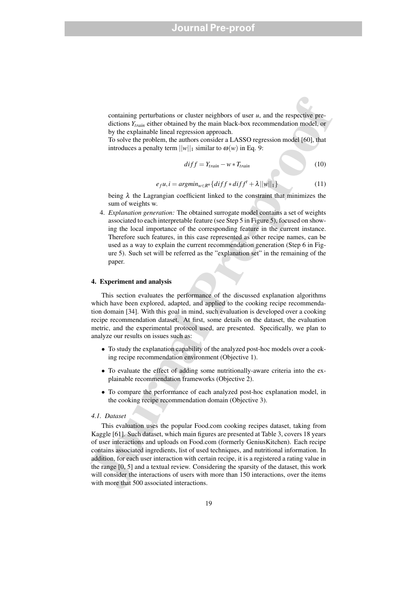containing perturbations or cluster neighbors of user *u*, and the respective predictions *Ytrain* either obtained by the main black-box recommendation model, or by the explainable lineal regression approach.

To solve the problem, the authors consider a LASSO regression model [60], that introduces a penalty term  $||w||_1$  similar to  $\omega(w)$  in Eq. 9:

$$
diff = Y_{train} - w * T_{train}
$$
 (10)

$$
e_{f}u, i = argmin_{w \in R^{n}} \{diff * diff^{t} + \lambda ||w||_{1}\}
$$
\n(11)

being  $\lambda$  the Lagrangian coefficient linked to the constraint that minimizes the sum of weights w.

4. *Explanation generation:* The obtained surrogate model contains a set of weights associated to each interpretable feature (see Step 5 in Figure 5), focused on showing the local importance of the corresponding feature in the current instance. Therefore such features, in this case represented as other recipe names, can be used as a way to explain the current recommendation generation (Step 6 in Figure 5). Such set will be referred as the "explanation set" in the remaining of the paper.

#### 4. Experiment and analysis

This section evaluates the performance of the discussed explanation algorithms which have been explored, adapted, and applied to the cooking recipe recommendation domain [34]. With this goal in mind, such evaluation is developed over a cooking recipe recommendation dataset. At first, some details on the dataset, the evaluation metric, and the experimental protocol used, are presented. Specifically, we plan to analyze our results on issues such as:

- To study the explanation capability of the analyzed post-hoc models over a cooking recipe recommendation environment (Objective 1).
- To evaluate the effect of adding some nutritionally-aware criteria into the explainable recommendation frameworks (Objective 2).
- To compare the performance of each analyzed post-hoc explanation model, in the cooking recipe recommendation domain (Objective 3).

#### *4.1. Dataset*

containing perturbations or cluster neighbors of user *u*, and the respective pre-<br>dictions  $Y_{\text{radio}}$  either obtained by the main black-box recommendation model or<br>by the crylations linear legression approach. To save the This evaluation uses the popular Food.com cooking recipes dataset, taking from Kaggle [61]. Such dataset, which main figures are presented at Table 3, covers 18 years of user interactions and uploads on Food.com (formerly GeniusKitchen). Each recipe contains associated ingredients, list of used techniques, and nutritional information. In addition, for each user interaction with certain recipe, it is a registered a rating value in the range [0, 5] and a textual review. Considering the sparsity of the dataset, this work will consider the interactions of users with more than 150 interactions, over the items with more that 500 associated interactions.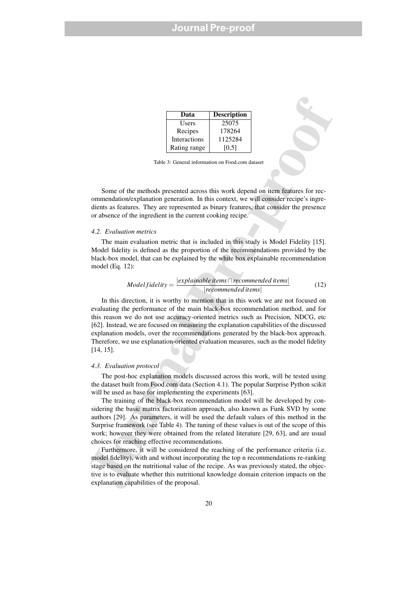| Data         | <b>Description</b> |
|--------------|--------------------|
| <b>Users</b> | 25075              |
| Recipes      | 178264             |
| Interactions | 1125284            |
| Rating range | <b>60.51</b>       |

Table 3: General information on Food.com dataset

Some of the methods presented across this work depend on item features for recommendation/explanation generation. In this context, we will consider recipe's ingredients as features. They are represented as binary features, that consider the presence or absence of the ingredient in the current cooking recipe.

#### *4.2. Evaluation metrics*

The main evaluation metric that is included in this study is Model Fidelity [15]. Model fidelity is defined as the proportion of the recommendations provided by the black-box model, that can be explained by the white box explainable recommendation model (Eq. 12):

$$
Model fidelity = \frac{|explainable items \cap recommended items|}{|recommended items|}
$$
(12)

**Duta Description**<br> **Exerts Exertaines**<br> **Exerts Exertaines**<br> **Exerts Exerts**<br> **Exerts Exerts**<br> **Exerts Exerts**<br> **Exerts Exerts**<br> **Exerts Exerts**<br> **Exerts**<br> **Exerts**<br> **Exerts**<br> **Some of the methods present** In this direction, it is worthy to mention that in this work we are not focused on evaluating the performance of the main black-box recommendation method, and for this reason we do not use accuracy-oriented metrics such as Precision, NDCG, etc [62]. Instead, we are focused on measuring the explanation capabilities of the discussed explanation models, over the recommendations generated by the black-box approach. Therefore, we use explanation-oriented evaluation measures, such as the model fidelity [14, 15].

#### *4.3. Evaluation protocol*

The post-hoc explanation models discussed across this work, will be tested using the dataset built from Food.com data (Section 4.1). The popular Surprise Python scikit will be used as base for implementing the experiments [63].

The training of the black-box recommendation model will be developed by considering the basic matrix factorization approach, also known as Funk SVD by some authors [29]. As parameters, it will be used the default values of this method in the Surprise framework (see Table 4). The tuning of these values is out of the scope of this work; however they were obtained from the related literature [29, 63], and are usual choices for reaching effective recommendations.

Furthermore, it will be considered the reaching of the performance criteria (i.e. model fidelity), with and without incorporating the top n recommendations re-ranking stage based on the nutritional value of the recipe. As was previously stated, the objective is to evaluate whether this nutritional knowledge domain criterion impacts on the explanation capabilities of the proposal.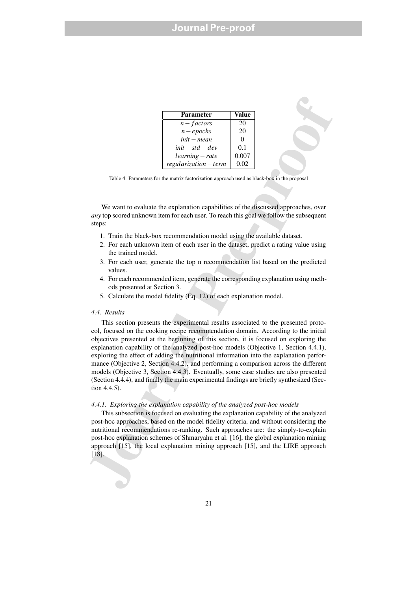| Parameter             | Value |
|-----------------------|-------|
| $n-factors$           | 20    |
| $n-epochs$            | 20    |
| $init - mean$         | 0     |
| $init - std - dev$    | 0.1   |
| $learning-rate$       | 0.007 |
| regularization – term | 0.02  |

Table 4: Parameters for the matrix factorization approach used as black-box in the proposal

We want to evaluate the explanation capabilities of the discussed approaches, over *any* top scored unknown item for each user. To reach this goal we follow the subsequent steps:

- 1. Train the black-box recommendation model using the available dataset.
- 2. For each unknown item of each user in the dataset, predict a rating value using the trained model.
- 3. For each user, generate the top n recommendation list based on the predicted values.
- 4. For each recommended item, generate the corresponding explanation using methods presented at Section 3.
- 5. Calculate the model fidelity (Eq. 12) of each explanation model.

#### *4.4. Results*

**Parameter Value**<br> *n* - *geochs* 20<br> *n* - *geochs* 20<br> *nit – means* 20<br> *nit – mean*<br> *bent – at -der-profit and*  $\sim$  *0.01<br>
<i>learning – rate* 0.01<br> *learning – rate* 0.01<br> *learning – rate* 0.01<br>
Table 4: Parameter for This section presents the experimental results associated to the presented protocol, focused on the cooking recipe recommendation domain. According to the initial objectives presented at the beginning of this section, it is focused on exploring the explanation capability of the analyzed post-hoc models (Objective 1, Section 4.4.1), exploring the effect of adding the nutritional information into the explanation performance (Objective 2, Section 4.4.2), and performing a comparison across the different models (Objective 3, Section 4.4.3). Eventually, some case studies are also presented (Section 4.4.4), and finally the main experimental findings are briefly synthesized (Section 4.4.5).

#### *4.4.1. Exploring the explanation capability of the analyzed post-hoc models*

This subsection is focused on evaluating the explanation capability of the analyzed post-hoc approaches, based on the model fidelity criteria, and without considering the nutritional recommendations re-ranking. Such approaches are: the simply-to-explain post-hoc explanation schemes of Shmaryahu et al. [16], the global explanation mining approach [15], the local explanation mining approach [15], and the LIRE approach [18].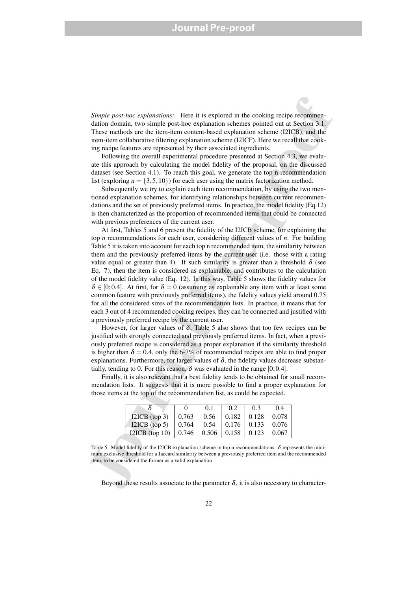*Simple post-hoc explanations:.* Here it is explored in the cooking recipe recommendation domain, two simple post-hoc explanation schemes pointed out at Section 3.1. These methods are the item-item content-based explanation scheme (I2ICB), and the item-item collaborative filtering explanation scheme (I2ICF). Here we recall that cooking recipe features are represented by their associated ingredients.

Following the overall experimental procedure presented at Section 4.3, we evaluate this approach by calculating the model fidelity of the proposal, on the discussed dataset (see Section 4.1). To reach this goal, we generate the top n recommendation list (exploring  $n = \{3, 5, 10\}$ ) for each user using the matrix factorization method.

Subsequently we try to explain each item recommendation, by using the two mentioned explanation schemes, for identifying relationships between current recommendations and the set of previously preferred items. In practice, the model fidelity (Eq.12) is then characterized as the proportion of recommended items that could be connected with previous preferences of the current user.

Single post-hoc explanations. Here it is explored in the cooking recipe recommendation domain, two simple post-hoc explanation schemes pointed out at Section 3.1, These methods are the iteration and the inter-lost of plan At first, Tables 5 and 6 present the fidelity of the I2ICB scheme, for explaining the top *n* recommendations for each user, considering different values of *n*. For building Table 5 it is taken into account for each top n recommended item, the similarity between them and the previously preferred items by the current user (i.e. those with a rating value equal or greater than 4). If such similarity is greater than a threshold  $\delta$  (see Eq. 7), then the item is considered as explainable, and contributes to the calculation of the model fidelity value (Eq. 12). In this way, Table 5 shows the fidelity values for  $\delta \in [0, 0.4]$ . At first, for  $\delta = 0$  (assuming as explainable any item with at least some common feature with previously preferred items), the fidelity values yield around 0.75 for all the considered sizes of the recommendation lists. In practice, it means that for each 3 out of 4 recommended cooking recipes, they can be connected and justified with a previously preferred recipe by the current user.

However, for larger values of  $\delta$ , Table 5 also shows that too few recipes can be justified with strongly connected and previously preferred items. In fact, when a previously preferred recipe is considered as a proper explanation if the similarity threshold is higher than  $\delta = 0.4$ , only the 6-7% of recommended recipes are able to find proper explanations. Furthermore, for larger values of  $\delta$ , the fidelity values decrease substantially, tending to 0. For this reason,  $\delta$  was evaluated in the range [0;0.4].

Finally, it is also relevant that a best fidelity tends to be obtained for small recommendation lists. It suggests that it is more possible to find a proper explanation for those items at the top of the recommendation list, as could be expected.

|                   |       | $\Omega$ 1 | 02    | 03                          | 04          |
|-------------------|-------|------------|-------|-----------------------------|-------------|
| I2ICB $top 3)$    | 0.763 | 0.56       |       | $0.182 \pm 0.128$           | $\pm 0.078$ |
| I2ICB $(top 5)$   | 0.764 | 0.54       |       | $0.176 \pm 0.133 \pm 0.076$ |             |
| I2ICB (top $10$ ) | 0.746 | 0.506      | 0.158 | 0.123                       | 0.067       |

Table 5: Model fidelity of the I2ICB explanation scheme in top n recommendations.  $\delta$  represents the minimum exclusive threshold for a Jaccard similarity between a previously preferred item and the recommended item, to be considered the former as a valid explanation

Beyond these results associate to the parameter  $\delta$ , it is also necessary to character-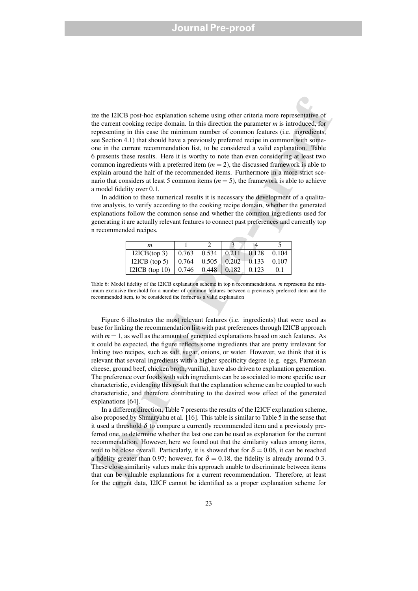ize the I2ICB post-hoc explanation scheme using other criteria more representative of the current cooking recipe domain. In this direction the parameter *m* is introduced, for representing in this case the minimum number of common features (i.e. ingredients, see Section 4.1) that should have a previously preferred recipe in common with someone in the current recommendation list, to be considered a valid explanation. Table 6 presents these results. Here it is worthy to note than even considering at least two common ingredients with a preferred item  $(m = 2)$ , the discussed framework is able to explain around the half of the recommended items. Furthermore in a more strict scenario that considers at least 5 common items  $(m = 5)$ , the framework is able to achieve a model fidelity over 0.1.

In addition to these numerical results it is necessary the development of a qualitative analysis, to verify according to the cooking recipe domain, whether the generated explanations follow the common sense and whether the common ingredients used for generating it are actually relevant features to connect past preferences and currently top n recommended recipes.

| т                |                                                 |  |  |
|------------------|-------------------------------------------------|--|--|
| $I2ICB$ (top 3)  | $0.763$   $0.534$   $0.211$   $0.128$   0.104   |  |  |
| I2ICB $(top 5)$  | $0.764$   $0.505$   $0.202$   $0.133$   $0.107$ |  |  |
| I2ICB $(top 10)$ | $0.746$   0.448   0.182   0.123                 |  |  |

Table 6: Model fidelity of the I2ICB explanation scheme in top n recommendations. *m* represents the minimum exclusive threshold for a number of common features between a previously preferred item and the recommended item, to be considered the former as a valid explanation

ize the 12ICR post-hoc explanation schome using other criteria more representative of<br>the current cooking recipe domain. In this direction the parameter *m* is introduced, for<br>expectenting in this case the minimum number Figure 6 illustrates the most relevant features (i.e. ingredients) that were used as base for linking the recommendation list with past preferences through I2ICB approach with  $m = 1$ , as well as the amount of generated explanations based on such features. As it could be expected, the figure reflects some ingredients that are pretty irrelevant for linking two recipes, such as salt, sugar, onions, or water. However, we think that it is relevant that several ingredients with a higher specificity degree (e.g. eggs, Parmesan cheese, ground beef, chicken broth, vanilla), have also driven to explanation generation. The preference over foods with such ingredients can be associated to more specific user characteristic, evidencing this result that the explanation scheme can be coupled to such characteristic, and therefore contributing to the desired wow effect of the generated explanations [64].

In a different direction, Table 7 presents the results of the I2ICF explanation scheme, also proposed by Shmaryahu et al. [16]. This table is similar to Table 5 in the sense that it used a threshold  $\delta$  to compare a currently recommended item and a previously preferred one, to determine whether the last one can be used as explanation for the current recommendation. However, here we found out that the similarity values among items, tend to be close overall. Particularly, it is showed that for  $\delta = 0.06$ , it can be reached a fidelity greater than 0.97; however, for  $\delta = 0.18$ , the fidelity is already around 0.3. These close similarity values make this approach unable to discriminate between items that can be valuable explanations for a current recommendation. Therefore, at least for the current data, I2ICF cannot be identified as a proper explanation scheme for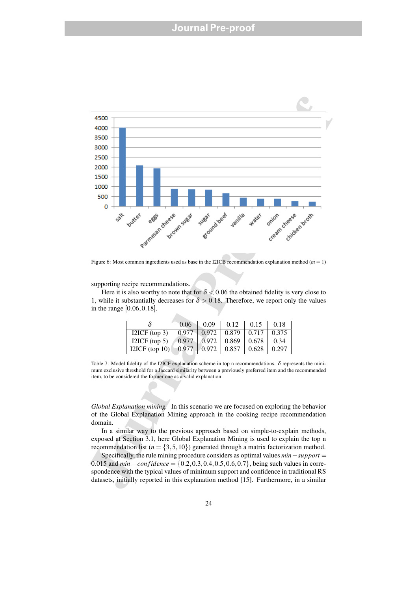

Figure 6: Most common ingredients used as base in the I2ICB recommendation explanation method (*m* = 1)

supporting recipe recommendations.

Here it is also worthy to note that for  $\delta < 0.06$  the obtained fidelity is very close to 1, while it substantially decreases for  $\delta > 0.18$ . Therefore, we report only the values in the range [0.06,0.18].

|                                                                                                    | 0.06 | 0.09 | $\perp$ 0.12 | $\perp$ 0.15 | 0.18  |
|----------------------------------------------------------------------------------------------------|------|------|--------------|--------------|-------|
| I2ICF (top 3)   $0.977$   $0.972$   $0.879$   $0.717$   $0.375$                                    |      |      |              |              |       |
| I2ICF (top 5) $\begin{array}{ c c c c c c c c c } \hline 0.972 & 0.869 & 0.678 \hline \end{array}$ |      |      |              |              | 0.34  |
|                                                                                                    |      |      |              | 0.628        | 0.297 |

Table 7: Model fidelity of the I2ICF explanation scheme in top n recommendations.  $\delta$  represents the minimum exclusive threshold for a Jaccard similarity between a previously preferred item and the recommended item, to be considered the former one as a valid explanation

*Global Explanation mining.* In this scenario we are focused on exploring the behavior of the Global Explanation Mining approach in the cooking recipe recommendation domain.

In a similar way to the previous approach based on simple-to-explain methods, exposed at Section 3.1, here Global Explanation Mining is used to explain the top n recommendation list ( $n = \{3, 5, 10\}$ ) generated through a matrix factorization method.

Specifically, the rule mining procedure considers as optimal values *min*−*support* = 0.015 and *min* − *con fidence* = {0.2, 0.3, 0.4, 0.5, 0.6, 0.7}, being such values in correspondence with the typical values of minimum support and confidence in traditional RS datasets, initially reported in this explanation method [15]. Furthermore, in a similar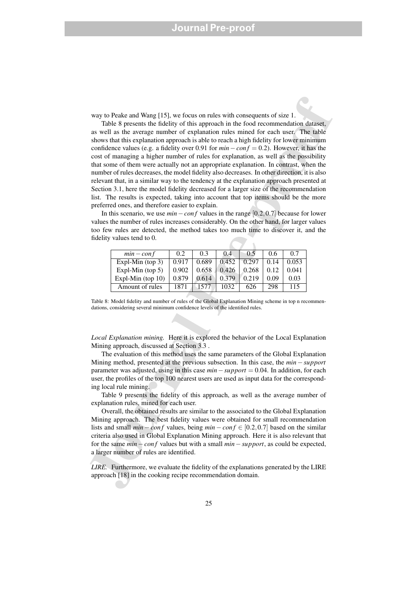way to Peake and Wang [15], we focus on rules with consequents of size 1.

way to Peake and Wang [15], we focus on niles with consequents of size 1.<br>Table 8 presents the fidelity of this approach in the food recommendation dataset,<br>as well as the accorgan murbor of explanation rules minds for ea Table 8 presents the fidelity of this approach in the food recommendation dataset, as well as the average number of explanation rules mined for each user. The table shows that this explanation approach is able to reach a high fidelity for lower minimum confidence values (e.g. a fidelity over 0.91 for *min*−*con f* = 0.2). However, it has the cost of managing a higher number of rules for explanation, as well as the possibility that some of them were actually not an appropriate explanation. In contrast, when the number of rules decreases, the model fidelity also decreases. In other direction, it is also relevant that, in a similar way to the tendency at the explanation approach presented at Section 3.1, here the model fidelity decreased for a larger size of the recommendation list. The results is expected, taking into account that top items should be the more preferred ones, and therefore easier to explain.

In this scenario, we use *min*−*con f* values in the range [0.2,0.7] because for lower values the number of rules increases considerably. On the other hand, for larger values too few rules are detected, the method takes too much time to discover it, and the fidelity values tend to 0.

| $min-conf$           | 0.2   | 0.3   | 0.4   | 0.5   | 0.6  | 0.7   |
|----------------------|-------|-------|-------|-------|------|-------|
| Expl-Min (top $3$ )  | 0.917 | 0.689 | 0.452 | 0.297 | 0.14 | 0.053 |
| Expl-Min (top $5$ )  | 0.902 | 0.658 | 0.426 | 0.268 | 0.12 | 0.041 |
| Expl-Min (top $10$ ) | 0.879 | 0.614 | 0.379 | 0.219 | 0.09 | 0.03  |
| Amount of rules      | 1871  | 1577  | 1032  | 626   | 298  | 115   |

Table 8: Model fidelity and number of rules of the Global Explanation Mining scheme in top n recommendations, considering several minimum confidence levels of the identified rules.

*Local Explanation mining.* Here it is explored the behavior of the Local Explanation Mining approach, discussed at Section 3.3 .

The evaluation of this method uses the same parameters of the Global Explanation Mining method, presented at the previous subsection. In this case, the *min*−*support* parameter was adjusted, using in this case *min*−*support* = 0.04. In addition, for each user, the profiles of the top 100 nearest users are used as input data for the corresponding local rule mining.

Table 9 presents the fidelity of this approach, as well as the average number of explanation rules, mined for each user.

Overall, the obtained results are similar to the associated to the Global Explanation Mining approach. The best fidelity values were obtained for small recommendation lists and small  $min - conf$  values, being  $min - conf \in [0.2, 0.7]$  based on the similar criteria also used in Global Explanation Mining approach. Here it is also relevant that for the same *min*−*con f* values but with a small *min*−*support*, as could be expected, a larger number of rules are identified.

*LIRE.* Furthermore, we evaluate the fidelity of the explanations generated by the LIRE approach [18] in the cooking recipe recommendation domain.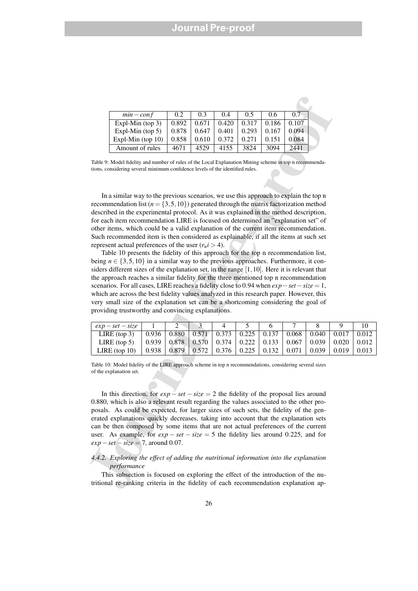| $min-conf$           | 0.2   | 0.3   | 0.4   | 0.5   | 0.6   | 0.7   |  |
|----------------------|-------|-------|-------|-------|-------|-------|--|
| Expl-Min $(top 3)$   | 0.892 | 0.671 | 0.420 | 0.317 | 0.186 | 0.107 |  |
| Expl-Min (top $5$ )  | 0.878 | 0.647 | 0.401 | 0.293 | 0.167 | 0.094 |  |
| Expl-Min (top $10$ ) | 0.858 | 0.610 | 0.372 | 0.271 |       | 0.084 |  |
| Amount of rules      | 4671  | 4529  | 4155  | 3824  | 3094  | 2441  |  |

Table 9: Model fidelity and number of rules of the Local Explanation Mining scheme in top n recommendations, considering several minimum confidence levels of the identified rules.

In a similar way to the previous scenarios, we use this approach to explain the top n recommendation list ( $n = \{3, 5, 10\}$ ) generated through the matrix factorization method described in the experimental protocol. As it was explained in the method description, for each item recommendation LIRE is focused on determined an "explanation set" of other items, which could be a valid explanation of the current item recommendation. Such recommended item is then considered as explainable, if all the items at such set represent actual preferences of the user  $(r_u i > 4)$ .

 $\begin{tabular}{|c|c|c|c|c|} \hline & min-couf & 0.2 & 0.3 & 0.4 & 0.5 & 0.6 & 0.7 \\ \hline Exp1-Mini (top 3) & 0.892 & 0.671 & 0.420 & 0.317 & 0.186 & 0.107 \\ \hline Exp1-Mini (top 10) & 0.878 & 0.647 & 0.411 & 0.203 & 0.167 & 0.994 \\ \hline Exp1-Mini (top 10) & 0.878 & 0.641 & 0.372 & 0.271 & 0.151 & 0.$ Table 10 presents the fidelity of this approach for the top n recommendation list, being  $n \in \{3, 5, 10\}$  in a similar way to the previous approaches. Furthermore, it considers different sizes of the explanation set, in the range [1,10]. Here it is relevant that the approach reaches a similar fidelity for the three mentioned top n recommendation scenarios. For all cases, LIRE reaches a fidelity close to 0.94 when *exp*−*set* −*size* = 1, which are across the best fidelity values analyzed in this research paper. However, this very small size of the explanation set can be a shortcoming considering the goal of providing trustworthy and convincing explanations.

| $exp - set - size$    |       |       |                              |                         |                                  |                     |       |         |                     |       |
|-----------------------|-------|-------|------------------------------|-------------------------|----------------------------------|---------------------|-------|---------|---------------------|-------|
| LIRE $(top 3)$        | 0.936 | 0.880 | $\mid 0.571 \mid 0.373 \mid$ |                         | 0.225                            | $^{+}$ 0.137 $^{-}$ | 0.068 | $0.040$ | $\vert 0.017 \vert$ | 0.012 |
| LIRE $({\rm top\,}5)$ | 0.939 |       |                              | $0.878$   0.570   0.374 | $\mid$ 0.222 $\mid$ 0.133 $\mid$ |                     | 0.067 | $0.039$ | 0.020               | 0.012 |
| LIRE $($ top $10)$    | 0.938 | 0.879 | 0.572                        | $\pm 0.376$             | 0.225                            | 0.132               | 0.071 | 0.039   | 0.019               | 0.013 |

Table 10: Model fidelity of the LIRE approach scheme in top n recommendations, considering several sizes of the explanation set.

In this direction, for  $exp - set - size = 2$  the fidelity of the proposal lies around 0.880, which is also a relevant result regarding the values associated to the other proposals. As could be expected, for larger sizes of such sets, the fidelity of the generated explanations quickly decreases, taking into account that the explanation sets can be then composed by some items that are not actual preferences of the current user. As example, for  $exp - set - size = 5$  the fidelity lies around 0.225, and for *exp*−*set* −*size* = 7, around 0.07.

#### *4.4.2. Exploring the effect of adding the nutritional information into the explanation performance*

This subsection is focused on exploring the effect of the introduction of the nutritional re-ranking criteria in the fidelity of each recommendation explanation ap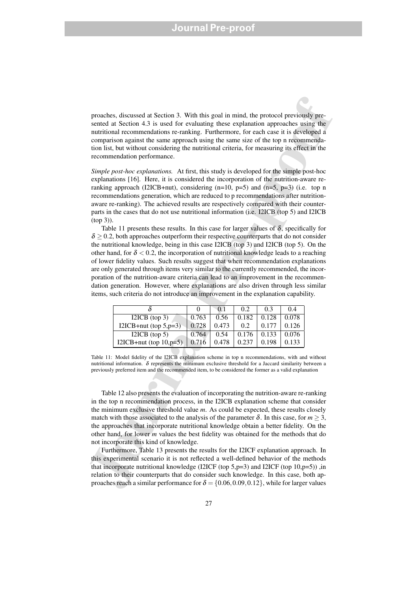proaches, discussed at Section 3. With this goal in mind, the protocol previously presented at Section 4.3 is used for evaluating these explanation approaches using the nutritional recommendations re-ranking. Furthermore, for each case it is developed a comparison against the same approach using the same size of the top n recommendation list, but without considering the nutritional criteria, for measuring its effect in the recommendation performance.

*Simple post-hoc explanations.* At first, this study is developed for the simple post-hoc explanations [16]. Here, it is considered the incorporation of the nutrition-aware reranking approach (I2ICB+nut), considering  $(n=10, p=5)$  and  $(n=5, p=3)$  (i.e. top n recommendations generation, which are reduced to p recommendations after nutritionaware re-ranking). The achieved results are respectively compared with their counterparts in the cases that do not use nutritional information (i.e. I2ICB (top 5) and I2ICB (top 3)).

proaches, discussed at Section 3. With this geal in mind, the protocol previously pre-<br>sented at Section 4.3 is used for evaluating these explanation approaches using the<br>nurritonal recommendation ve-marking, Furthermore, Table 11 presents these results. In this case for larger values of  $\delta$ , specifically for  $\delta$  > 0.2, both approaches outperform their respective counterparts that do not consider the nutritional knowledge, being in this case I2ICB (top 3) and I2ICB (top 5). On the other hand, for  $\delta$  < 0.2, the incorporation of nutritional knowledge leads to a reaching of lower fidelity values. Such results suggest that when recommendation explanations are only generated through items very similar to the currently recommended, the incorporation of the nutrition-aware criteria can lead to an improvement in the recommendation generation. However, where explanations are also driven through less similar items, such criteria do not introduce an improvement in the explanation capability.

|                           |       | 0.1   | 0.2   | 0.3   | 0.4   |
|---------------------------|-------|-------|-------|-------|-------|
| I2ICB $(top 3)$           | 0.763 | 0.56  | 0.182 | 0.128 | 0.078 |
| I2ICB+nut (top $5,p=3$ )  | 0.728 | 0.473 | 0.2   | 0.177 | 0.126 |
| I2ICB $(top 5)$           | 0.764 | 0.54  | 0.176 | 0.133 | 0.076 |
| I2ICB+nut (top $10,p=5$ ) | 0.716 | 0.478 | 0.237 | 0.198 | 0.133 |

Table 11: Model fidelity of the I2ICB explanation scheme in top n recommendations, with and without nutritional information.  $\delta$  represents the minimum exclusive threshold for a Jaccard similarity between a previously preferred item and the recommended item, to be considered the former as a valid explanation

Table 12 also presents the evaluation of incorporating the nutrition-aware re-ranking in the top n recommendation process, in the I2ICB explanation scheme that consider the minimum exclusive threshold value *m*. As could be expected, these results closely match with those associated to the analysis of the parameter  $\delta$ . In this case, for  $m \geq 3$ , the approaches that incorporate nutritional knowledge obtain a better fidelity. On the other hand, for lower *m* values the best fidelity was obtained for the methods that do not incorporate this kind of knowledge.

Furthermore, Table 13 presents the results for the I2ICF explanation approach. In this experimental scenario it is not reflected a well-defined behavior of the methods that incorporate nutritional knowledge (I2ICF (top 5,p=3) and I2ICF (top 10,p=5)) ,in relation to their counterparts that do consider such knowledge. In this case, both approaches reach a similar performance for  $\delta = \{0.06, 0.09, 0.12\}$ , while for larger values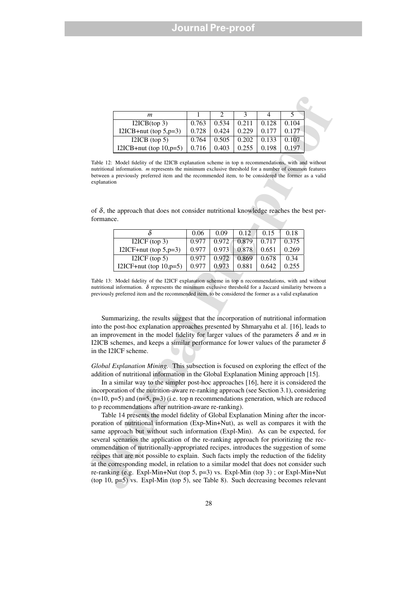| m                         |       |       |       |       |       |  |
|---------------------------|-------|-------|-------|-------|-------|--|
| $I2ICB$ (top 3)           | 0.763 | 0.534 | 0.211 | 0.128 | 0.104 |  |
| I2ICB+nut (top $5,p=3$ )  | 0.728 | 0.424 | 0.229 | 0.177 | 0.177 |  |
| I2ICB $(top 5)$           | 0.764 | 0.505 | 0.202 | 0.133 | 0.107 |  |
| I2ICB+nut (top $10,p=5$ ) | 0.716 | 0.403 | 0.255 | 0.198 | 0.197 |  |

Table 12: Model fidelity of the I2ICB explanation scheme in top n recommendations, with and without nutritional information. *m* represents the minimum exclusive threshold for a number of common features between a previously preferred item and the recommended item, to be considered the former as a valid explanation

of  $\delta$ , the approach that does not consider nutritional knowledge reaches the best performance.

|                           | 0.06  | 0.09  | 0.12. | 0.15  | 0.18  |
|---------------------------|-------|-------|-------|-------|-------|
| $I2ICF$ (top 3)           | 0.977 | 0.972 | 0.879 | 0.717 | 0.375 |
| I2ICF+nut (top $5,p=3$ )  | 0.977 | 0.973 | 0.878 | 0.651 | 0.269 |
| $I2ICF$ (top 5)           | 0.977 | 0.972 | 0.869 | 0.678 | 0.34  |
| I2ICF+nut (top $10,p=5$ ) | 0.977 | 0.973 | 0.881 | 0.642 | 0.255 |

Table 13: Model fidelity of the I2ICF explanation scheme in top n recommendations, with and without nutritional information. δ represents the minimum exclusive threshold for a Jaccard similarity between a previously preferred item and the recommended item, to be considered the former as a valid explanation

Summarizing, the results suggest that the incorporation of nutritional information into the post-hoc explanation approaches presented by Shmaryahu et al. [16], leads to an improvement in the model fidelity for larger values of the parameters  $\delta$  and *m* in I2ICB schemes, and keeps a similar performance for lower values of the parameter  $\delta$ in the I2ICF scheme.

*Global Explanation Mining.* This subsection is focused on exploring the effect of the addition of nutritional information in the Global Explanation Mining approach [15].

In a similar way to the simpler post-hoc approaches [16], here it is considered the incorporation of the nutrition-aware re-ranking approach (see Section 3.1), considering  $(n=10, p=5)$  and  $(n=5, p=3)$  (i.e. top n recommendations generation, which are reduced to p recommendations after nutrition-aware re-ranking).

**EPG (100 3)**  $\sqrt{133}$   $\sqrt{133}$   $\sqrt{133}$   $\sqrt{131}$   $\sqrt{131}$   $\sqrt{131}$   $\sqrt{131}$   $\sqrt{131}$   $\sqrt{131}$   $\sqrt{131}$   $\sqrt{131}$   $\sqrt{131}$   $\sqrt{131}$   $\sqrt{131}$   $\sqrt{131}$   $\sqrt{131}$   $\sqrt{131}$   $\sqrt{131}$   $\sqrt{131}$   $\sqrt{131}$   $\sqrt{131$ Table 14 presents the model fidelity of Global Explanation Mining after the incorporation of nutritional information (Exp-Min+Nut), as well as compares it with the same approach but without such information (Expl-Min). As can be expected, for several scenarios the application of the re-ranking approach for prioritizing the recommendation of nutritionally-appropriated recipes, introduces the suggestion of some recipes that are not possible to explain. Such facts imply the reduction of the fidelity at the corresponding model, in relation to a similar model that does not consider such re-ranking (e.g. Expl-Min+Nut (top 5, p=3) vs. Expl-Min (top 3) ; or Expl-Min+Nut (top 10, p=5) vs. Expl-Min (top 5), see Table 8). Such decreasing becomes relevant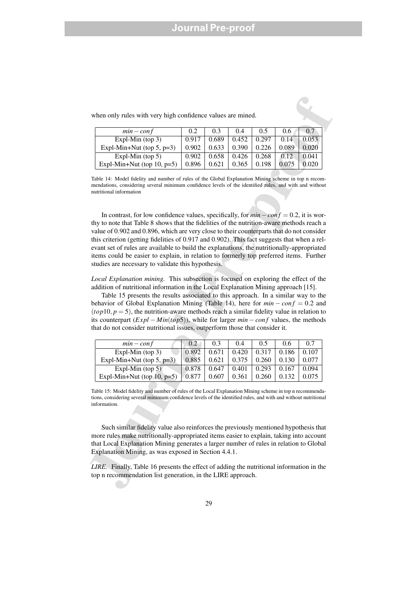| $min - cont$                  | 0.2   | 0.3   | (0.4) | 0.5   | 0.6   | 0.7   |
|-------------------------------|-------|-------|-------|-------|-------|-------|
| Expl-Min $(top 3)$            | 0.917 | 0.689 | 0.452 | 0.297 | 0.14  | 0.053 |
| Expl-Min+Nut (top 5, $p=3$ )  | 0.902 | 0.633 | 0.390 | 0.226 | 0.089 | 0.020 |
| Expl-Min $(top 5)$            | 0.902 | 0.658 | 0.426 | 0.268 | 0.12  | 0.041 |
| Expl-Min+Nut (top 10, $p=5$ ) | 0.896 | 0.621 | 0.365 | 0.198 |       | 0.020 |

when only rules with very high confidence values are mined.

Table 14: Model fidelity and number of rules of the Global Explanation Mining scheme in top n recommendations, considering several minimum confidence levels of the identified rules, and with and without nutritional information

when only rules with very high confidence values are mined.<br>
Fig. 10.4 ( $m = -\omega n f$ ) ( $0.23 - 0.33 - 0.43 - 0.53 - 0.64$ ) ( $0.023$ )<br>
Expl-Min (top 3) ( $0.917 - 0.689 - 0.452 - 0.297$ ) ( $0.144 - 0.053$ )<br>
Expl-Min (top 5) ( $0.902 - 0.$ In contrast, for low confidence values, specifically, for *min*−*con f* = 0.2, it is worthy to note that Table 8 shows that the fidelities of the nutrition-aware methods reach a value of 0.902 and 0.896, which are very close to their counterparts that do not consider this criterion (getting fidelities of 0.917 and 0.902). This fact suggests that when a relevant set of rules are available to build the explanations, the nutritionally-appropriated items could be easier to explain, in relation to formerly top preferred items. Further studies are necessary to validate this hypothesis.

*Local Explanation mining.* This subsection is focused on exploring the effect of the addition of nutritional information in the Local Explanation Mining approach [15].

Table 15 presents the results associated to this approach. In a similar way to the behavior of Global Explanation Mining (Table 14), here for  $min - conf = 0.2$  and  $(top10, p=5)$ , the nutrition-aware methods reach a similar fidelity value in relation to its counterpart (*Expl* − *Min*(*top*5)), while for larger *min* − *con f* values, the methods that do not consider nutritional issues, outperform those that consider it.

| $min-conf$                       |            | 0.3   | (0.4) | 0.5   | 0.6   | 0.7   |
|----------------------------------|------------|-------|-------|-------|-------|-------|
| Expl-Min $(top 3)$               | 0.892      | 0.671 | 0.420 | 0.317 | 0.186 | 0.107 |
| Expl-Min+Nut (top 5, $p=3$ )     | 0.885      | 0.621 | 0.375 | 0.260 | 0.130 | 0.077 |
| Expl-Min $(top 5)$               | 0.878      | 0.647 | 0.401 | 0.293 | 0.167 | 0.094 |
| Expl-Min+Nut (top $10$ , $p=5$ ) | $0.87^{2}$ | 0.607 | 0.361 | 0.260 | 0.132 | 0.075 |

Table 15: Model fidelity and number of rules of the Local Explanation Mining scheme in top n recommendations, considering several minimum confidence levels of the identified rules, and with and without nutritional information.

Such similar fidelity value also reinforces the previously mentioned hypothesis that more rules make nutritionally-appropriated items easier to explain, taking into account that Local Explanation Mining generates a larger number of rules in relation to Global Explanation Mining, as was exposed in Section 4.4.1.

*LIRE.* Finally, Table 16 presents the effect of adding the nutritional information in the top n recommendation list generation, in the LIRE approach.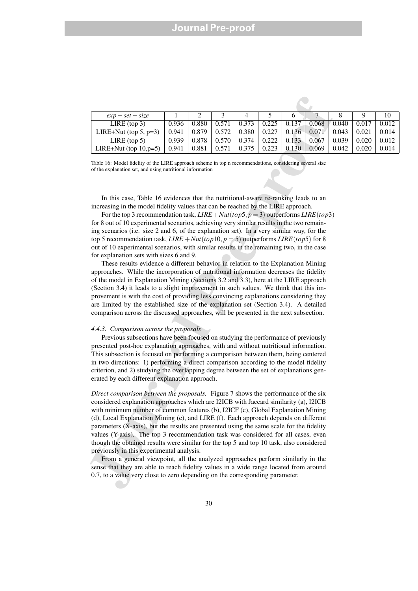| $exp - set - size$       |       |       |       | 4     |       |       |       |       |       | 10    |
|--------------------------|-------|-------|-------|-------|-------|-------|-------|-------|-------|-------|
| LIRE $(top 3)$           | 0.936 | 0.880 | 0.571 | 0.373 | 0.225 | 0.137 | 0.068 | 0.040 | 0.017 | 0.012 |
| LIRE+Nut (top 5, $p=3$ ) | 0.941 | 0.879 | 0.572 | 0.380 | 0.227 | 0.136 | 0.071 | 0.043 | 0.021 | 0.014 |
| LIRE $(top 5)$           | 0.939 | 0.878 | 0.570 | 0.374 | 0.222 | 0.133 | 0.067 | 0.039 | 0.020 | 0.012 |
| LIRE+Nut (top $10,p=5$ ) | 0.941 | 0.881 | 0.571 | 0.375 | 0.223 | 0.130 | 0.069 | 0.042 | 0.020 | 0.014 |

Table 16: Model fidelity of the LIRE approach scheme in top n recommendations, considering several size of the explanation set, and using nutritional information

In this case, Table 16 evidences that the nutritional-aware re-ranking leads to an increasing in the model fidelity values that can be reached by the LIRE approach.

For the top 3 recommendation task,  $LIRE + Nut(top 5, p = 3)$  outperforms  $LIRE(top 3)$ for 8 out of 10 experimental scenarios, achieving very similar results in the two remaining scenarios (i.e. size 2 and 6, of the explanation set). In a very similar way, for the top 5 recommendation task,  $LIRE + Nut(top10, p = 5)$  outperforms  $LIRE(top5)$  for 8 out of 10 experimental scenarios, with similar results in the remaining two, in the case for explanation sets with sizes 6 and 9.

These results evidence a different behavior in relation to the Explanation Mining approaches. While the incorporation of nutritional information decreases the fidelity of the model in Explanation Mining (Sections 3.2 and 3.3), here at the LIRE approach (Section 3.4) it leads to a slight improvement in such values. We think that this improvement is with the cost of providing less convincing explanations considering they are limited by the established size of the explanation set (Section 3.4). A detailed comparison across the discussed approaches, will be presented in the next subsection.

#### *4.4.3. Comparison across the proposals*

Previous subsections have been focused on studying the performance of previously presented post-hoc explanation approaches, with and without nutritional information. This subsection is focused on performing a comparison between them, being centered in two directions: 1) performing a direct comparison according to the model fidelity criterion, and 2) studying the overlapping degree between the set of explanations generated by each different explanation approach.

erg  $-$  set  $-$  size  $\frac{1}{18}$   $\frac{2}{133}$   $\frac{3}{1333}$   $\frac{4}{1325}$   $\frac{5}{10225}$   $\frac{6}{1318}$   $\frac{7}{10880}$   $\frac{1}{1884}$  (i.ep 3) 0.9340 0.8380 (4571)  $\frac{1}{10373}$   $\frac{0.225}{0.225}$   $\frac{0.137}{0.1376}$   $\frac{0.027}{0.1876$ *Direct comparison between the proposals.* Figure 7 shows the performance of the six considered explanation approaches which are I2ICB with Jaccard similarity (a), I2ICB with minimum number of common features (b), I2ICF (c), Global Explanation Mining (d), Local Explanation Mining (e), and LIRE (f). Each approach depends on different parameters (X-axis), but the results are presented using the same scale for the fidelity values (Y-axis). The top 3 recommendation task was considered for all cases, even though the obtained results were similar for the top 5 and top 10 task, also considered previously in this experimental analysis.

From a general viewpoint, all the analyzed approaches perform similarly in the sense that they are able to reach fidelity values in a wide range located from around 0.7, to a value very close to zero depending on the corresponding parameter.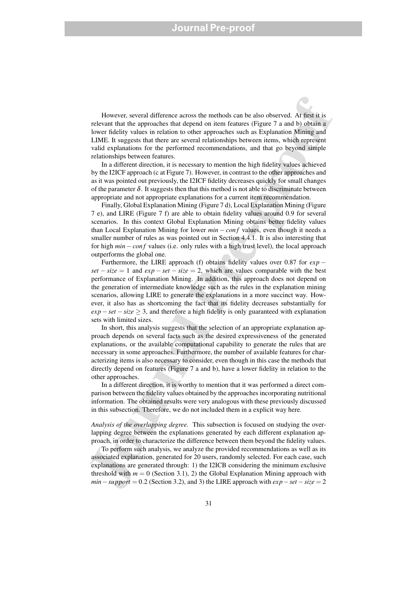However, several difference across the methods can be also observed. At first it is relevant that the approaches that depend on item features (Figure 7 a and b) obtain a lower fidelity values in relation to other approaches such as Explanation Mining and LIME. It suggests that there are several relationships between items, which represent valid explanations for the performed recommendations, and that go beyond simple relationships between features.

In a different direction, it is necessary to mention the high fidelity values achieved by the I2ICF approach (c at Figure 7). However, in contrast to the other approaches and as it was pointed out previously, the I2ICF fidelity decreases quickly for small changes of the parameter  $\delta$ . It suggests then that this method is not able to discriminate between appropriate and not appropriate explanations for a current item recommendation.

Finally, Global Explanation Mining (Figure 7 d), Local Explanation Mining (Figure 7 e), and LIRE (Figure 7 f) are able to obtain fidelity values around 0.9 for several scenarios. In this context Global Explanation Mining obtains better fidelity values than Local Explanation Mining for lower *min* − *con f* values, even though it needs a smaller number of rules as was pointed out in Section 4.4.1. It is also interesting that for high *min*−*con f* values (i.e. only rules with a high trust level), the local approach outperforms the global one.

However, several difference across the methods can be also observed. A first it is<br>relevant that the approaches that depend on item features (Figure 7 a and b) obtain a<br>lower fieldiny values in relation on other approache Furthermore, the LIRE approach (f) obtains fidelity values over 0.87 for *exp* −  $set - size = 1$  and  $exp - set - size = 2$ , which are values comparable with the best performance of Explanation Mining. In addition, this approach does not depend on the generation of intermediate knowledge such as the rules in the explanation mining scenarios, allowing LIRE to generate the explanations in a more succinct way. However, it also has as shortcoming the fact that its fidelity decreases substantially for  $exp - set - size \geq 3$ , and therefore a high fidelity is only guaranteed with explanation sets with limited sizes.

In short, this analysis suggests that the selection of an appropriate explanation approach depends on several facts such as the desired expressiveness of the generated explanations, or the available computational capability to generate the rules that are necessary in some approaches. Furthermore, the number of available features for characterizing items is also necessary to consider, even though in this case the methods that directly depend on features (Figure 7 a and b), have a lower fidelity in relation to the other approaches.

In a different direction, it is worthy to mention that it was performed a direct comparison between the fidelity values obtained by the approaches incorporating nutritional information. The obtained results were very analogous with these previously discussed in this subsection. Therefore, we do not included them in a explicit way here.

*Analysis of the overlapping degree.* This subsection is focused on studying the overlapping degree between the explanations generated by each different explanation approach, in order to characterize the difference between them beyond the fidelity values.

To perform such analysis, we analyze the provided recommendations as well as its associated explanation, generated for 20 users, randomly selected. For each case, such explanations are generated through: 1) the I2ICB considering the minimum exclusive threshold with  $m = 0$  (Section 3.1), 2) the Global Explanation Mining approach with  $min - support = 0.2$  (Section 3.2), and 3) the LIRE approach with  $exp - set - size = 2$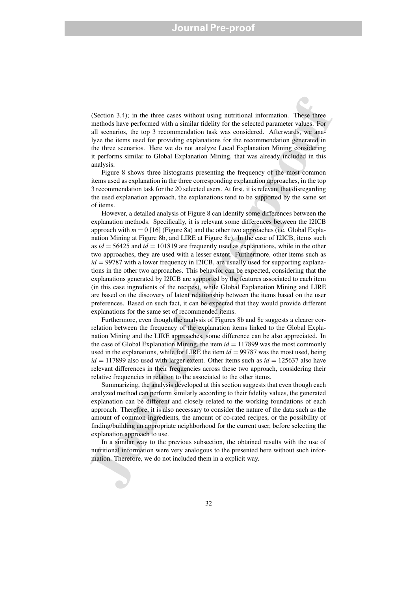(Section 3.4); in the three cases without using nutritional information. These three methods have performed with a similar fidelity for the selected parameter values. For all scenarios, the top 3 recommendation task was considered. Afterwards, we analyze the items used for providing explanations for the recommendation generated in the three scenarios. Here we do not analyze Local Explanation Mining considering it performs similar to Global Explanation Mining, that was already included in this analysis.

Figure 8 shows three histograms presenting the frequency of the most common items used as explanation in the three corresponding explanation approaches, in the top 3 recommendation task for the 20 selected users. At first, it is relevant that disregarding the used explanation approach, the explanations tend to be supported by the same set of items.

(Section 3.4); in the three cases without using nutritonal information. These these methods have performed with a similar fidelity for the selected parameter values. For all seconds the top 3 recommondation task was consi However, a detailed analysis of Figure 8 can identify some differences between the explanation methods. Specifically, it is relevant some differences between the I2ICB approach with  $m = 0$  [16] (Figure 8a) and the other two approaches (i.e. Global Explanation Mining at Figure 8b, and LIRE at Figure 8c). In the case of I2ICB, items such as *id* = 56425 and *id* = 101819 are frequently used as explanations, while in the other two approaches, they are used with a lesser extent. Furthermore, other items such as *id* = 99787 with a lower frequency in I2ICB, are usually used for supporting explanations in the other two approaches. This behavior can be expected, considering that the explanations generated by I2ICB are supported by the features associated to each item (in this case ingredients of the recipes), while Global Explanation Mining and LIRE are based on the discovery of latent relationship between the items based on the user preferences. Based on such fact, it can be expected that they would provide different explanations for the same set of recommended items.

Furthermore, even though the analysis of Figures 8b and 8c suggests a clearer correlation between the frequency of the explanation items linked to the Global Explanation Mining and the LIRE approaches, some difference can be also appreciated. In the case of Global Explanation Mining, the item  $id = 117899$  was the most commonly used in the explanations, while for LIRE the item  $id = 99787$  was the most used, being  $id = 117899$  also used with larger extent. Other items such as  $id = 125637$  also have relevant differences in their frequencies across these two approach, considering their relative frequencies in relation to the associated to the other items.

Summarizing, the analysis developed at this section suggests that even though each analyzed method can perform similarly according to their fidelity values, the generated explanation can be different and closely related to the working foundations of each approach. Therefore, it is also necessary to consider the nature of the data such as the amount of common ingredients, the amount of co-rated recipes, or the possibility of finding/building an appropriate neighborhood for the current user, before selecting the explanation approach to use.

In a similar way to the previous subsection, the obtained results with the use of nutritional information were very analogous to the presented here without such information. Therefore, we do not included them in a explicit way.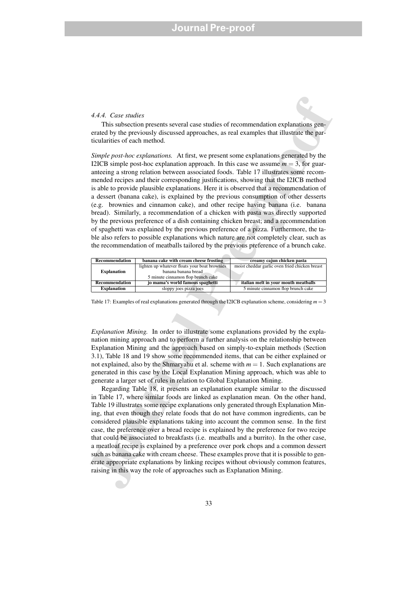#### *4.4.4. Case studies*

This subsection presents several case studies of recommendation explanations generated by the previously discussed approaches, as real examples that illustrate the particularities of each method.

4.4.4. Case studies<br>This subsection presents several case studies of recommendation explamations generated by the pre-<br>circular by the pre-ional operator approaches, as real examples that illustratic the particular<br>direct *Simple post-hoc explanations.* At first, we present some explanations generated by the I2ICB simple post-hoc explanation approach. In this case we assume  $m = 3$ , for guaranteeing a strong relation between associated foods. Table 17 illustrates some recommended recipes and their corresponding justifications, showing that the I2ICB method is able to provide plausible explanations. Here it is observed that a recommendation of a dessert (banana cake), is explained by the previous consumption of other desserts (e.g. brownies and cinnamon cake), and other recipe having banana (i.e. banana bread). Similarly, a recommendation of a chicken with pasta was directly supported by the previous preference of a dish containing chicken breast; and a recommendation of spaghetti was explained by the previous preference of a pizza. Furthermore, the table also refers to possible explanations which nature are not completely clear, such as the recommendation of meatballs tailored by the previous preference of a brunch cake.

| Recommendation        | banana cake with cream cheese frosting        | creamy cajun chicken pasta                     |
|-----------------------|-----------------------------------------------|------------------------------------------------|
|                       | lighten up whatever floats your boat brownies | moist cheddar garlic oven fried chicken breast |
| <b>Explanation</b>    | banana banana bread                           |                                                |
|                       | 5 minute cinnamon flop brunch cake            |                                                |
| <b>Recommendation</b> | jo mama's world famous spaghetti              | italian melt in your mouth meatballs           |
| <b>Explanation</b>    | sloppy joes pizza joes                        | 5 minute cinnamon flop brunch cake             |

Table 17: Examples of real explanations generated through the I2ICB explanation scheme, considering *m* = 3

*Explanation Mining.* In order to illustrate some explanations provided by the explanation mining approach and to perform a further analysis on the relationship between Explanation Mining and the approach based on simply-to-explain methods (Section 3.1), Table 18 and 19 show some recommended items, that can be either explained or not explained, also by the Shmaryahu et al. scheme with  $m = 1$ . Such explanations are generated in this case by the Local Explanation Mining approach, which was able to generate a larger set of rules in relation to Global Explanation Mining.

Regarding Table 18, it presents an explanation example similar to the discussed in Table 17, where similar foods are linked as explanation mean. On the other hand, Table 19 illustrates some recipe explanations only generated through Explanation Mining, that even though they relate foods that do not have common ingredients, can be considered plausible explanations taking into account the common sense. In the first case, the preference over a bread recipe is explained by the preference for two recipe that could be associated to breakfasts (i.e. meatballs and a burrito). In the other case, a meatloaf recipe is explained by a preference over pork chops and a common dessert such as banana cake with cream cheese. These examples prove that it is possible to generate appropriate explanations by linking recipes without obviously common features, raising in this way the role of approaches such as Explanation Mining.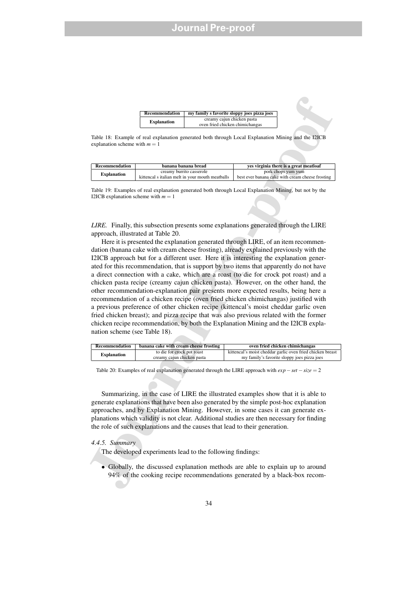| <b>Recommendation</b> | my family s favorite sloppy joes pizza joes                   |
|-----------------------|---------------------------------------------------------------|
| <b>Explanation</b>    | creamy cajun chicken pasta<br>oven fried chicken chimichangas |

Table 18: Example of real explanation generated both through Local Explanation Mining and the I2ICB explanation scheme with  $m = 1$ 

| Recommendation     | banana banana bread                                                          | ves virginia there is a great meatloaf                                 |
|--------------------|------------------------------------------------------------------------------|------------------------------------------------------------------------|
| <b>Explanation</b> | creamy burrito casserole<br>kittencal s italian melt in your mouth meatballs | pork chops yum yum<br>best ever banana cake with cream cheese frosting |

Table 19: Examples of real explanation generated both through Local Explanation Mining, but not by the I2ICB explanation scheme with  $m = 1$ 

*LIRE.* Finally, this subsection presents some explanations generated through the LIRE approach, illustrated at Table 20.

**Examined the age of the control of the system of the system is a spectral of the system of the system of the system of the system of the system of the system of the system of the system of the system of the system of the** Here it is presented the explanation generated through LIRE, of an item recommendation (banana cake with cream cheese frosting), already explained previously with the I2ICB approach but for a different user. Here it is interesting the explanation generated for this recommendation, that is support by two items that apparently do not have a direct connection with a cake, which are a roast (to die for crock pot roast) and a chicken pasta recipe (creamy cajun chicken pasta). However, on the other hand, the other recommendation-explanation pair presents more expected results, being here a recommendation of a chicken recipe (oven fried chicken chimichangas) justified with a previous preference of other chicken recipe (kittencal's moist cheddar garlic oven fried chicken breast); and pizza recipe that was also previous related with the former chicken recipe recommendation, by both the Explanation Mining and the I2ICB explanation scheme (see Table 18).

| <b>Recommendation</b> | banana cake with cream cheese frosting | oven fried chicken chimichangas                            |
|-----------------------|----------------------------------------|------------------------------------------------------------|
| <b>Explanation</b>    | to die for crock pot roast             | kittencal's moist cheddar garlic oven fried chicken breast |
|                       | creamy cajun chicken pasta             | my family's favorite sloppy joes pizza joes                |

Table 20: Examples of real explanation generated through the LIRE approach with *exp*−*set* −*size* = 2

Summarizing, in the case of LIRE the illustrated examples show that it is able to generate explanations that have been also generated by the simple post-hoc explanation approaches, and by Explanation Mining. However, in some cases it can generate explanations which validity is not clear. Additional studies are then necessary for finding the role of such explanations and the causes that lead to their generation.

#### *4.4.5. Summary*

- The developed experiments lead to the following findings:
- Globally, the discussed explanation methods are able to explain up to around 94% of the cooking recipe recommendations generated by a black-box recom-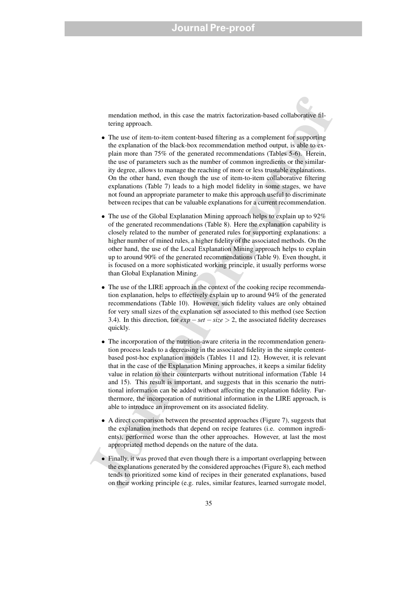mendation method, in this case the matrix factorization-based collaborative filtering approach.

- mendation method, in this case the matrix factorization-based collaborative ti-<br>teriag approach.<br>
 The use of item-io-item content-based filtering as a complement for supporting<br>
the cephandron of the bask-box recentmend • The use of item-to-item content-based filtering as a complement for supporting the explanation of the black-box recommendation method output, is able to explain more than 75% of the generated recommendations (Tables 5-6). Herein, the use of parameters such as the number of common ingredients or the similarity degree, allows to manage the reaching of more or less trustable explanations. On the other hand, even though the use of item-to-item collaborative filtering explanations (Table 7) leads to a high model fidelity in some stages, we have not found an appropriate parameter to make this approach useful to discriminate between recipes that can be valuable explanations for a current recommendation.
	- The use of the Global Explanation Mining approach helps to explain up to 92% of the generated recommendations (Table 8). Here the explanation capability is closely related to the number of generated rules for supporting explanations: a higher number of mined rules, a higher fidelity of the associated methods. On the other hand, the use of the Local Explanation Mining approach helps to explain up to around 90% of the generated recommendations (Table 9). Even thought, it is focused on a more sophisticated working principle, it usually performs worse than Global Explanation Mining.
	- The use of the LIRE approach in the context of the cooking recipe recommendation explanation, helps to effectively explain up to around 94% of the generated recommendations (Table 10). However, such fidelity values are only obtained for very small sizes of the explanation set associated to this method (see Section 3.4). In this direction, for *exp*−*set* −*size* > 2, the associated fidelity decreases quickly.
	- The incorporation of the nutrition-aware criteria in the recommendation generation process leads to a decreasing in the associated fidelity in the simple contentbased post-hoc explanation models (Tables 11 and 12). However, it is relevant that in the case of the Explanation Mining approaches, it keeps a similar fidelity value in relation to their counterparts without nutritional information (Table 14 and 15). This result is important, and suggests that in this scenario the nutritional information can be added without affecting the explanation fidelity. Furthermore, the incorporation of nutritional information in the LIRE approach, is able to introduce an improvement on its associated fidelity.
	- A direct comparison between the presented approaches (Figure 7), suggests that the explanation methods that depend on recipe features (i.e. common ingredients), performed worse than the other approaches. However, at last the most appropriated method depends on the nature of the data.
	- Finally, it was proved that even though there is a important overlapping between the explanations generated by the considered approaches (Figure 8), each method tends to prioritized some kind of recipes in their generated explanations, based on their working principle (e.g. rules, similar features, learned surrogate model,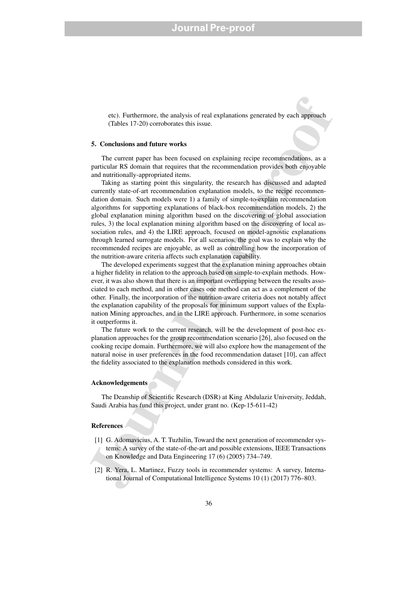etc). Furthermore, the analysis of real explanations generated by each approach (Tables 17-20) corroborates this issue.

#### 5. Conclusions and future works

The current paper has been focused on explaining recipe recommendations, as a particular RS domain that requires that the recommendation provides both enjoyable and nutritionally-appropriated items.

cto). Furthermore, the analysis of real explanations generated by each approach<br>
(Tables 17-20) corrobotates this issue.<br>
5. **Conclusions and future works**<br>
The current paper has heen foreused on evoluting recipe recommen Taking as starting point this singularity, the research has discussed and adapted currently state-of-art recommendation explanation models, to the recipe recommendation domain. Such models were 1) a family of simple-to-explain recommendation algorithms for supporting explanations of black-box recommendation models, 2) the global explanation mining algorithm based on the discovering of global association rules, 3) the local explanation mining algorithm based on the discovering of local association rules, and 4) the LIRE approach, focused on model-agnostic explanations through learned surrogate models. For all scenarios, the goal was to explain why the recommended recipes are enjoyable, as well as controlling how the incorporation of the nutrition-aware criteria affects such explanation capability.

The developed experiments suggest that the explanation mining approaches obtain a higher fidelity in relation to the approach based on simple-to-explain methods. However, it was also shown that there is an important overlapping between the results associated to each method, and in other cases one method can act as a complement of the other. Finally, the incorporation of the nutrition-aware criteria does not notably affect the explanation capability of the proposals for minimum support values of the Explanation Mining approaches, and in the LIRE approach. Furthermore, in some scenarios it outperforms it.

The future work to the current research, will be the development of post-hoc explanation approaches for the group recommendation scenario [26], also focused on the cooking recipe domain. Furthermore, we will also explore how the management of the natural noise in user preferences in the food recommendation dataset [10], can affect the fidelity associated to the explanation methods considered in this work.

#### Acknowledgements

The Deanship of Scientific Research (DSR) at King Abdulaziz University, Jeddah, Saudi Arabia has fund this project, under grant no. (Kep-15-611-42)

#### References

- [1] G. Adomavicius, A. T. Tuzhilin, Toward the next generation of recommender systems: A survey of the state-of-the-art and possible extensions, IEEE Transactions on Knowledge and Data Engineering 17 (6) (2005) 734–749.
- [2] R. Yera, L. Martinez, Fuzzy tools in recommender systems: A survey, International Journal of Computational Intelligence Systems 10 (1) (2017) 776–803.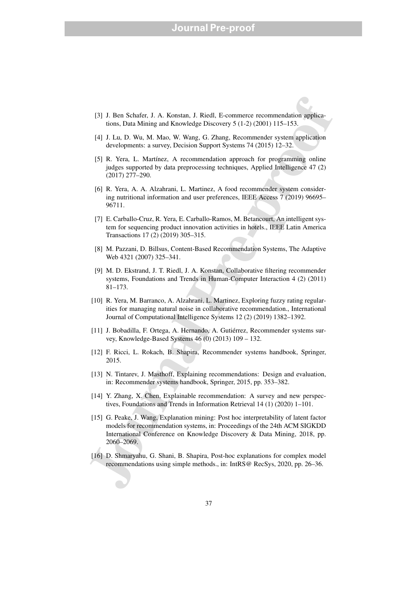- [3] J. Ben Schafer, J. A. Konstan, J. Riedl, E-commerce recommendation applications, Data Mining and Knowledge Discovery 5 (1-2) (2001) 115–153.
- [4] J. Lu, D. Wu, M. Mao, W. Wang, G. Zhang, Recommender system application developments: a survey, Decision Support Systems 74 (2015) 12–32.
- [5] R. Yera, L. Martínez, A recommendation approach for programming online judges supported by data preprocessing techniques, Applied Intelligence 47 (2) (2017) 277–290.
- [6] R. Yera, A. A. Alzahrani, L. Martinez, A food recommender system considering nutritional information and user preferences, IEEE Access 7 (2019) 96695– 96711.
- [7] E. Carballo-Cruz, R. Yera, E. Carballo-Ramos, M. Betancourt, An intelligent system for sequencing product innovation activities in hotels., IEEE Latin America Transactions 17 (2) (2019) 305–315.
- [8] M. Pazzani, D. Billsus, Content-Based Recommendation Systems, The Adaptive Web 4321 (2007) 325–341.
- [9] M. D. Ekstrand, J. T. Riedl, J. A. Konstan, Collaborative filtering recommender systems, Foundations and Trends in Human-Computer Interaction 4 (2) (2011) 81–173.
- [10] R. Yera, M. Barranco, A. Alzahrani, L. Martinez, Exploring fuzzy rating regularities for managing natural noise in collaborative recommendation., International Journal of Computational Intelligence Systems 12 (2) (2019) 1382–1392.
- [11] J. Bobadilla, F. Ortega, A. Hernando, A. Gutierrez, Recommender systems sur- ´ vey, Knowledge-Based Systems 46 (0) (2013) 109 – 132.
- [12] F. Ricci, L. Rokach, B. Shapira, Recommender systems handbook, Springer, 2015.
- [13] N. Tintarev, J. Masthoff, Explaining recommendations: Design and evaluation, in: Recommender systems handbook, Springer, 2015, pp. 353–382.
- [14] Y. Zhang, X. Chen, Explainable recommendation: A survey and new perspectives, Foundations and Trends in Information Retrieval 14 (1) (2020) 1–101.
- (3) J. Ben Schafer, J. A. Konstan, J. Rictl, F.-commerce recommendation applications. Data Mining and Knowledge Discovery 5 (1-2) (2001) 115-153.<br>
(4) J. Lu. D. Wu. M. Muo. W. Wung. G. Zhang, Recommender system applicatio [15] G. Peake, J. Wang, Explanation mining: Post hoc interpretability of latent factor models for recommendation systems, in: Proceedings of the 24th ACM SIGKDD International Conference on Knowledge Discovery & Data Mining, 2018, pp. 2060–2069.
- [16] D. Shmaryahu, G. Shani, B. Shapira, Post-hoc explanations for complex model recommendations using simple methods., in: IntRS@ RecSys, 2020, pp. 26–36.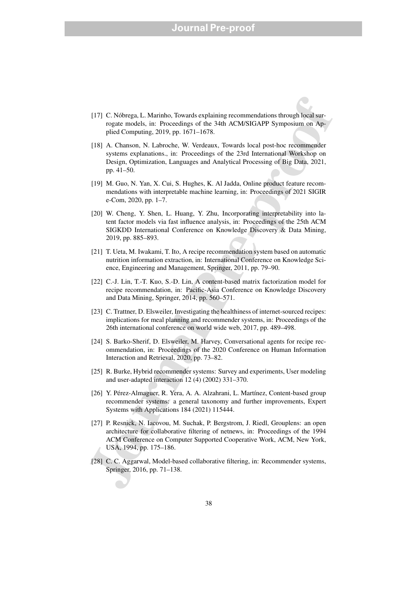- [17] C. Nóbrega, L. Marinho, Towards explaining recommendations through local surrogate models, in: Proceedings of the 34th ACM/SIGAPP Symposium on Applied Computing, 2019, pp. 1671–1678.
- [18] A. Chanson, N. Labroche, W. Verdeaux, Towards local post-hoc recommender systems explanations., in: Proceedings of the 23rd International Workshop on Design, Optimization, Languages and Analytical Processing of Big Data, 2021, pp. 41–50.
- [19] M. Guo, N. Yan, X. Cui, S. Hughes, K. Al Jadda, Online product feature recommendations with interpretable machine learning, in: Proceedings of 2021 SIGIR e-Com, 2020, pp. 1–7.
- [17] C. Nõhrega, I. Marinho, Towards explaining recommendations through heal sur-<br>regate models, in: Proceedings of the 34th ACM/SIGAPP Symposium on Ap-<br>plied Computing, 2019, pp. 1671–1678.<br>[18] A. Charactors, N. Larboch [20] W. Cheng, Y. Shen, L. Huang, Y. Zhu, Incorporating interpretability into latent factor models via fast influence analysis, in: Proceedings of the 25th ACM SIGKDD International Conference on Knowledge Discovery & Data Mining, 2019, pp. 885–893.
- [21] T. Ueta, M. Iwakami, T. Ito, A recipe recommendation system based on automatic nutrition information extraction, in: International Conference on Knowledge Science, Engineering and Management, Springer, 2011, pp. 79–90.
- [22] C.-J. Lin, T.-T. Kuo, S.-D. Lin, A content-based matrix factorization model for recipe recommendation, in: Pacific-Asia Conference on Knowledge Discovery and Data Mining, Springer, 2014, pp. 560–571.
- [23] C. Trattner, D. Elsweiler, Investigating the healthiness of internet-sourced recipes: implications for meal planning and recommender systems, in: Proceedings of the 26th international conference on world wide web, 2017, pp. 489–498.
- [24] S. Barko-Sherif, D. Elsweiler, M. Harvey, Conversational agents for recipe recommendation, in: Proceedings of the 2020 Conference on Human Information Interaction and Retrieval, 2020, pp. 73–82.
- [25] R. Burke, Hybrid recommender systems: Survey and experiments, User modeling and user-adapted interaction 12 (4) (2002) 331–370.
- [26] Y. Pérez-Almaguer, R. Yera, A. A. Alzahrani, L. Martínez, Content-based group recommender systems: a general taxonomy and further improvements, Expert Systems with Applications 184 (2021) 115444.
- [27] P. Resnick, N. Iacovou, M. Suchak, P. Bergstrom, J. Riedl, Grouplens: an open architecture for collaborative filtering of netnews, in: Proceedings of the 1994 ACM Conference on Computer Supported Cooperative Work, ACM, New York, USA, 1994, pp. 175–186.
- [28] C. C. Aggarwal, Model-based collaborative filtering, in: Recommender systems, Springer, 2016, pp. 71–138.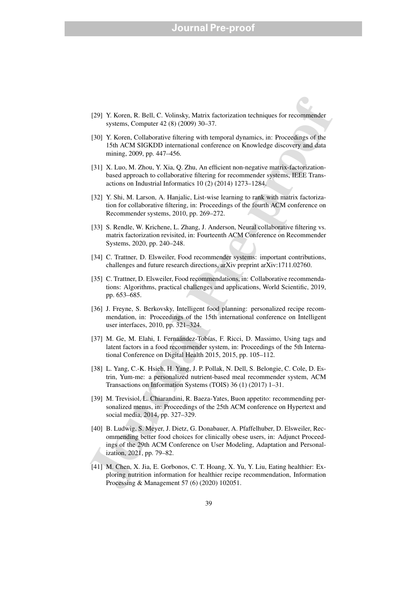- [29] Y. Koren, R. Bell, C. Volinsky, Matrix factorization techniques for recommender systems, Computer 42 (8) (2009) 30–37.
- [30] Y. Koren, Collaborative filtering with temporal dynamics, in: Proceedings of the 15th ACM SIGKDD international conference on Knowledge discovery and data mining, 2009, pp. 447–456.
- [31] X. Luo, M. Zhou, Y. Xia, Q. Zhu, An efficient non-negative matrix-factorizationbased approach to collaborative filtering for recommender systems, IEEE Transactions on Industrial Informatics 10 (2) (2014) 1273–1284.
- [32] Y. Shi, M. Larson, A. Hanjalic, List-wise learning to rank with matrix factorization for collaborative filtering, in: Proceedings of the fourth ACM conference on Recommender systems, 2010, pp. 269–272.
- [33] S. Rendle, W. Krichene, L. Zhang, J. Anderson, Neural collaborative filtering vs. matrix factorization revisited, in: Fourteenth ACM Conference on Recommender Systems, 2020, pp. 240–248.
- [34] C. Trattner, D. Elsweiler, Food recommender systems: important contributions, challenges and future research directions, arXiv preprint arXiv:1711.02760.
- [35] C. Trattner, D. Elsweiler, Food recommendations, in: Collaborative recommendations: Algorithms, practical challenges and applications, World Scientific, 2019, pp. 653–685.
- [36] J. Freyne, S. Berkovsky, Intelligent food planning: personalized recipe recommendation, in: Proceedings of the 15th international conference on Intelligent user interfaces, 2010, pp. 321–324.
- [37] M. Ge, M. Elahi, I. Fernaández-Tobías, F. Ricci, D. Massimo, Using tags and latent factors in a food recommender system, in: Proceedings of the 5th International Conference on Digital Health 2015, 2015, pp. 105–112.
- [38] L. Yang, C.-K. Hsieh, H. Yang, J. P. Pollak, N. Dell, S. Belongie, C. Cole, D. Estrin, Yum-me: a personalized nutrient-based meal recommender system, ACM Transactions on Information Systems (TOIS) 36 (1) (2017) 1–31.
- [39] M. Trevisiol, L. Chiarandini, R. Baeza-Yates, Buon appetito: recommending personalized menus, in: Proceedings of the 25th ACM conference on Hypertext and social media, 2014, pp. 327–329.
- (29) Y. Koren, R. Bell, C. Volitasty, Matrix factorization techniques for recommender systems, Computer 42 (8) (2009) 30–37.<br>
[30) Y. Koren, Collaborative filtering with temporal dynamics, in: Proceedings of the 15th ACM [40] B. Ludwig, S. Meyer, J. Dietz, G. Donabauer, A. Pfaffelhuber, D. Elsweiler, Recommending better food choices for clinically obese users, in: Adjunct Proceedings of the 29th ACM Conference on User Modeling, Adaptation and Personalization, 2021, pp. 79–82.
- [41] M. Chen, X. Jia, E. Gorbonos, C. T. Hoang, X. Yu, Y. Liu, Eating healthier: Exploring nutrition information for healthier recipe recommendation, Information Processing & Management 57 (6) (2020) 102051.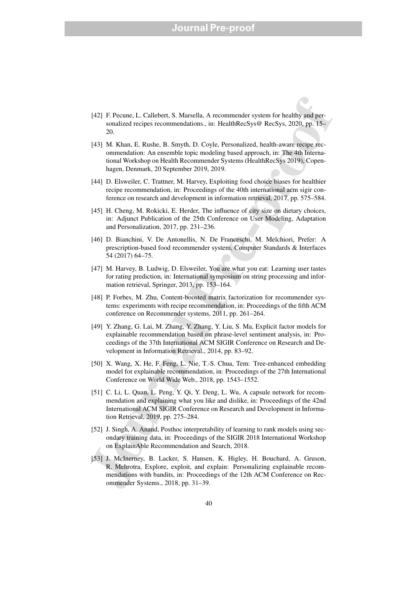- [42] F. Pecune, L. Callebert, S. Marsella, A recommender system for healthy and personalized recipes recommendations., in: HealthRecSys@ RecSys, 2020, pp. 15– 20.
- [43] M. Khan, E. Rushe, B. Smyth, D. Coyle, Personalized, health-aware recipe recommendation: An ensemble topic modeling based approach, in: The 4th International Workshop on Health Recommender Systems (HealthRecSys 2019), Copenhagen, Denmark, 20 September 2019, 2019.
- [44] D. Elsweiler, C. Trattner, M. Harvey, Exploiting food choice biases for healthier recipe recommendation, in: Proceedings of the 40th international acm sigir conference on research and development in information retrieval, 2017, pp. 575–584.
- [45] H. Cheng, M. Rokicki, E. Herder, The influence of city size on dietary choices, in: Adjunct Publication of the 25th Conference on User Modeling, Adaptation and Personalization, 2017, pp. 231–236.
- [46] D. Bianchini, V. De Antonellis, N. De Franceschi, M. Melchiori, Prefer: A prescription-based food recommender system, Computer Standards & Interfaces 54 (2017) 64–75.
- [47] M. Harvey, B. Ludwig, D. Elsweiler, You are what you eat: Learning user tastes for rating prediction, in: International symposium on string processing and information retrieval, Springer, 2013, pp. 153–164.
- [48] P. Forbes, M. Zhu, Content-boosted matrix factorization for recommender systems: experiments with recipe recommendation, in: Proceedings of the fifth ACM conference on Recommender systems, 2011, pp. 261–264.
- [49] Y. Zhang, G. Lai, M. Zhang, Y. Zhang, Y. Liu, S. Ma, Explicit factor models for explainable recommendation based on phrase-level sentiment analysis, in: Proceedings of the 37th International ACM SIGIR Conference on Research and Development in Information Retrieval., 2014, pp. 83–92.
- [50] X. Wang, X. He, F. Feng, L. Nie, T.-S. Chua, Tem: Tree-enhanced embedding model for explainable recommendation, in: Proceedings of the 27th International Conference on World Wide Web., 2018, pp. 1543–1552.
- [51] C. Li, L. Quan, L. Peng, Y. Qi, Y. Deng, L. Wu, A capsule network for recommendation and explaining what you like and dislike, in: Proceedings of the 42nd International ACM SIGIR Conference on Research and Development in Information Retrieval, 2019, pp. 275–284.
- [52] J. Singh, A. Anand, Posthoc interpretability of learning to rank models using secondary training data, in: Proceedings of the SIGIR 2018 International Workshop on ExplainAble Recommendation and Search, 2018.
- [42] F. Pecune, I., Callschert, S. Marsella, A recommender system for healthy and per-<br>sonalized recipes recommendations, in: HealthRecSys1@RecSys, 2020, pp. 15-<br>20.<br>
20. The main Pre-proofilies has a streament of the mai [53] J. McInerney, B. Lacker, S. Hansen, K. Higley, H. Bouchard, A. Gruson, R. Mehrotra, Explore, exploit, and explain: Personalizing explainable recommendations with bandits, in: Proceedings of the 12th ACM Conference on Recommender Systems., 2018, pp. 31–39.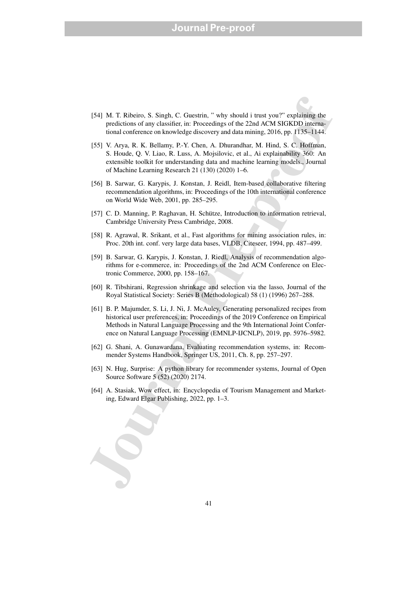- [54] M. T. Ribeiro, S. Singh, C. Guestrin, " why should i trust you?" explaining the predictions of any classifier, in: Proceedings of the 22nd ACM SIGKDD international conference on knowledge discovery and data mining, 2016, pp. 1135–1144.
- [55] V. Arya, R. K. Bellamy, P.-Y. Chen, A. Dhurandhar, M. Hind, S. C. Hoffman, S. Houde, Q. V. Liao, R. Luss, A. Mojsilovic, et al., Ai explainability 360: An extensible toolkit for understanding data and machine learning models., Journal of Machine Learning Research 21 (130) (2020) 1–6.
- [56] B. Sarwar, G. Karypis, J. Konstan, J. Reidl, Item-based collaborative filtering recommendation algorithms, in: Proceedings of the 10th international conference on World Wide Web, 2001, pp. 285–295.
- [57] C. D. Manning, P. Raghavan, H. Schütze, Introduction to information retrieval, Cambridge University Press Cambridge, 2008.
- [58] R. Agrawal, R. Srikant, et al., Fast algorithms for mining association rules, in: Proc. 20th int. conf. very large data bases, VLDB, Citeseer, 1994, pp. 487–499.
- [59] B. Sarwar, G. Karypis, J. Konstan, J. Riedl, Analysis of recommendation algorithms for e-commerce, in: Proceedings of the 2nd ACM Conference on Electronic Commerce, 2000, pp. 158–167.
- [60] R. Tibshirani, Regression shrinkage and selection via the lasso, Journal of the Royal Statistical Society: Series B (Methodological) 58 (1) (1996) 267–288.
- 1541 M. T. Ribeiro, S. Singh, C. Giusstina, " why should i trust you?" explaining the predictions of any classifier, in: Proceedings of the 22nd ACM SIGKDD internal conference on knowledge discovery and data mining, 2016, [61] B. P. Majumder, S. Li, J. Ni, J. McAuley, Generating personalized recipes from historical user preferences, in: Proceedings of the 2019 Conference on Empirical Methods in Natural Language Processing and the 9th International Joint Conference on Natural Language Processing (EMNLP-IJCNLP), 2019, pp. 5976–5982.
- [62] G. Shani, A. Gunawardana, Evaluating recommendation systems, in: Recommender Systems Handbook, Springer US, 2011, Ch. 8, pp. 257–297.
- [63] N. Hug, Surprise: A python library for recommender systems, Journal of Open Source Software 5 (52) (2020) 2174.
- [64] A. Stasiak, Wow effect, in: Encyclopedia of Tourism Management and Marketing, Edward Elgar Publishing, 2022, pp. 1–3.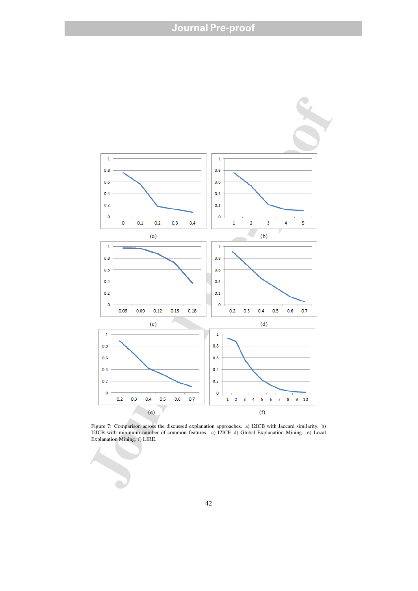

Figure 7: Comparison across the discussed explanation approaches. a) I2ICB with Jaccard similarity. b) I2ICB with minimum number of common features. c) I2ICF. d) Global Explanation Mining. e) Local Explanation Mining. f) LIRE.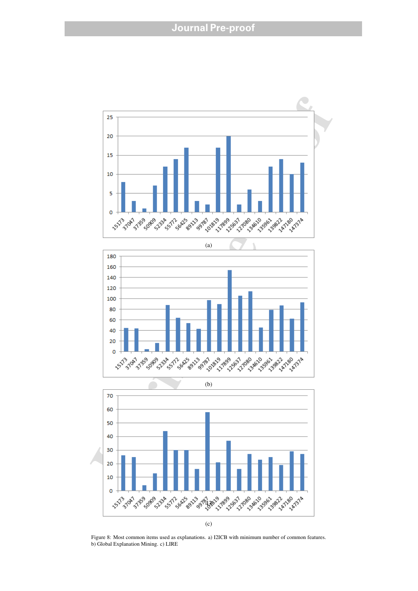

Figure 8: Most common items used as explanations. a) I2ICB with minimum number of common features. b) Global Explanation Mining. c) LIRE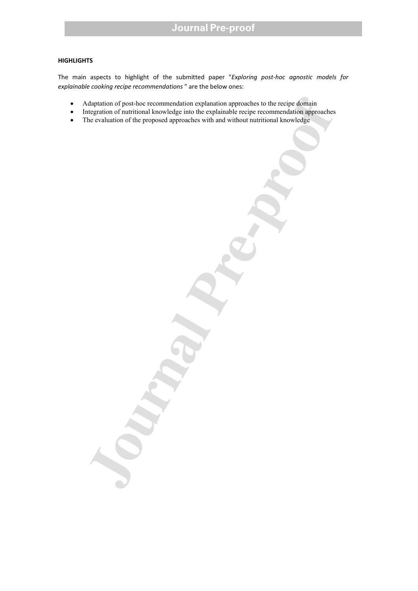### **HIGHLIGHTS**

The main aspects to highlight of the submitted paper "*Exploring post-hoc agnostic models for explainable cooking recipe recommendations* " are the below ones:

- Adaptation of post-hoc recommendation explanation approaches to the recipe domain
- Integration of nutritional knowledge into the explainable recipe recommendation approaches
- The evaluation of the proposed approaches with and without nutritional knowledge

deptation of post-hoc recommendation explanation approaches to the recipe domain<br>tegration of marifornal knowledge into the explainable recipe recommendating approaches<br>be evaluation of the proposed approaches with and wit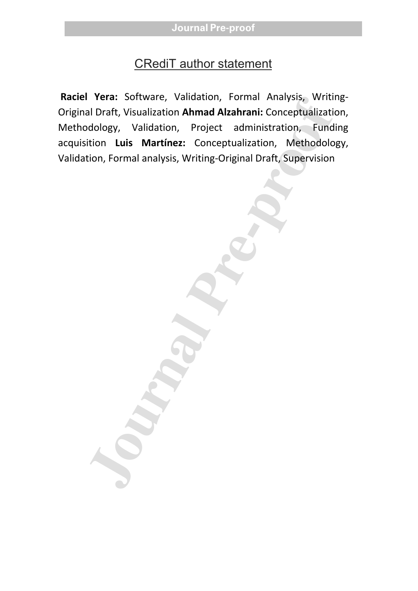# CRediT author statement

**Raciel Yera:** Software, Validation, Formal Analysis, Writing-Original Draft, Visualization **Ahmad Alzahrani:** Conceptualization, Methodology, Validation, Project administration, Funding acquisition **Luis Martínez:** Conceptualization, Methodology, Validation, Formal analysis, Writing-Original Draft, Supervision

I Vera: Sottware, Validation, Formal Analysis, Writich Library, William Altahrani: Conceptualization, Fund<br>dology, Validation, Project administration, Fund<br>tition Luis Martinez: Conceptualization, Methodolo<br>tion, Formal an